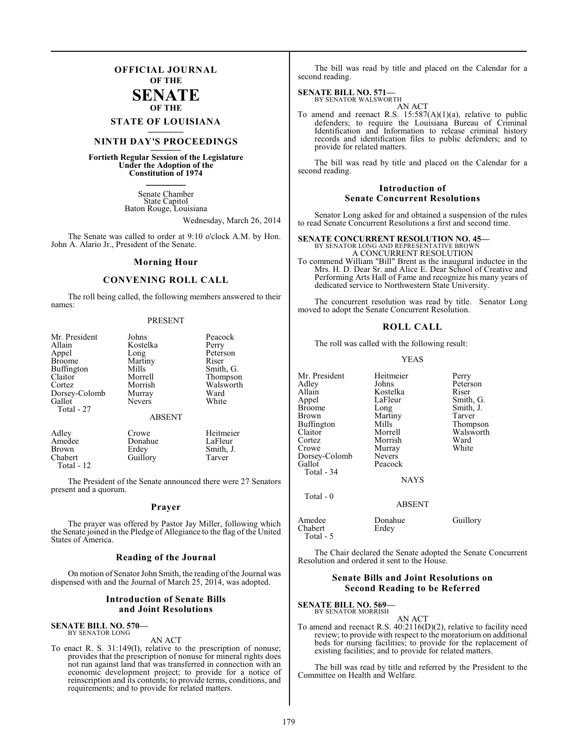### **OFFICIAL JOURNAL OF THE**

### **SENATE OF THE**

**STATE OF LOUISIANA \_\_\_\_\_\_\_**

### **NINTH DAY'S PROCEEDINGS \_\_\_\_\_\_\_**

**Fortieth Regular Session of the Legislature Under the Adoption of the Constitution of 1974 \_\_\_\_\_\_\_**

> Senate Chamber State Capitol Baton Rouge, Louisiana

> > Wednesday, March 26, 2014

The Senate was called to order at 9:10 o'clock A.M. by Hon. John A. Alario Jr., President of the Senate.

#### **Morning Hour**

### **CONVENING ROLL CALL**

The roll being called, the following members answered to their names:

#### PRESENT

| Mr. President | Johns         | Peacock   |
|---------------|---------------|-----------|
| Allain        | Kostelka      | Perry     |
| Appel         | Long          | Peterson  |
| <b>Broome</b> | Martiny       | Riser     |
| Buffington    | Mills         | Smith, G. |
| Claitor       | Morrell       | Thompson  |
| Cortez        | Morrish       | Walsworth |
| Dorsey-Colomb | Murray        | Ward      |
| Gallot        | <b>Nevers</b> | White     |
| Total - 27    | <b>ABSENT</b> |           |
| Adley         | Crowe         | Heitmeier |
| Amedee        | Donahue       | LaFleur   |
| <b>Brown</b>  | Erdey         | Smith, J. |
| Chabert       | Guillory      | Tarver    |

The President of the Senate announced there were 27 Senators present and a quorum.

#### **Prayer**

The prayer was offered by Pastor Jay Miller, following which the Senate joined in the Pledge of Allegiance to the flag of the United States of America.

#### **Reading of the Journal**

On motion of Senator John Smith, the reading of the Journal was dispensed with and the Journal of March 25, 2014, was adopted.

#### **Introduction of Senate Bills and Joint Resolutions**

### **SENATE BILL NO. 570—** BY SENATOR LONG

Total - 12

AN ACT

To enact R. S. 31:149(I), relative to the prescription of nonuse; provides that the prescription of nonuse for mineral rights does not run against land that was transferred in connection with an economic development project; to provide for a notice of reinscription and its contents; to provide terms, conditions, and requirements; and to provide for related matters.

The bill was read by title and placed on the Calendar for a second reading.

## **SENATE BILL NO. 571—**<br>BY SENATOR WALSWORTH

AN ACT

To amend and reenact R.S.  $15:587(A)(1)(a)$ , relative to public defenders; to require the Louisiana Bureau of Criminal Identification and Information to release criminal history records and identification files to public defenders; and to provide for related matters.

The bill was read by title and placed on the Calendar for a second reading.

#### **Introduction of Senate Concurrent Resolutions**

Senator Long asked for and obtained a suspension of the rules to read Senate Concurrent Resolutions a first and second time.

#### **SENATE CONCURRENT RESOLUTION NO. 45—**

BY SENATOR LONG AND REPRESENTATIVE BROWN A CONCURRENT RESOLUTION To commend William "Bill" Brent as the inaugural inductee in the Mrs. H. D. Dear Sr. and Alice E. Dear School of Creative and Performing Arts Hall of Fame and recognize his many years of dedicated service to Northwestern State University.

The concurrent resolution was read by title. Senator Long moved to adopt the Senate Concurrent Resolution.

#### **ROLL CALL**

The roll was called with the following result:

#### YEAS

| Mr. President<br>Adley         | Heitmeier<br>Johns | Perry<br>Peterson |
|--------------------------------|--------------------|-------------------|
| Allain                         | Kostelka           | Riser             |
| Appel                          | LaFleur            | Smith, G.         |
| <b>Broome</b>                  | Long               | Smith, J.         |
| Brown                          | Martiny            | Tarver            |
| Buffington                     | Mills              | Thompson          |
| Claitor                        | Morrell            | Walsworth         |
| Cortez                         | Morrish            | Ward              |
| Crowe                          | Murray             | White             |
| Dorsey-Colomb                  | <b>Nevers</b>      |                   |
| Gallot                         | Peacock            |                   |
| Total - 34                     |                    |                   |
|                                | <b>NAYS</b>        |                   |
| Total - 0                      |                    |                   |
|                                | <b>ABSENT</b>      |                   |
| Amedee<br>Chabert<br>Total - 5 | Donahue<br>Erdey   | Guillory          |

The Chair declared the Senate adopted the Senate Concurrent Resolution and ordered it sent to the House.

#### **Senate Bills and Joint Resolutions on Second Reading to be Referred**

### **SENATE BILL NO. 569—**

BY SENATOR MORRISH

AN ACT To amend and reenact R.S. 40:2116(D)(2), relative to facility need review; to provide with respect to the moratorium on additional beds for nursing facilities; to provide for the replacement of existing facilities; and to provide for related matters.

The bill was read by title and referred by the President to the Committee on Health and Welfare.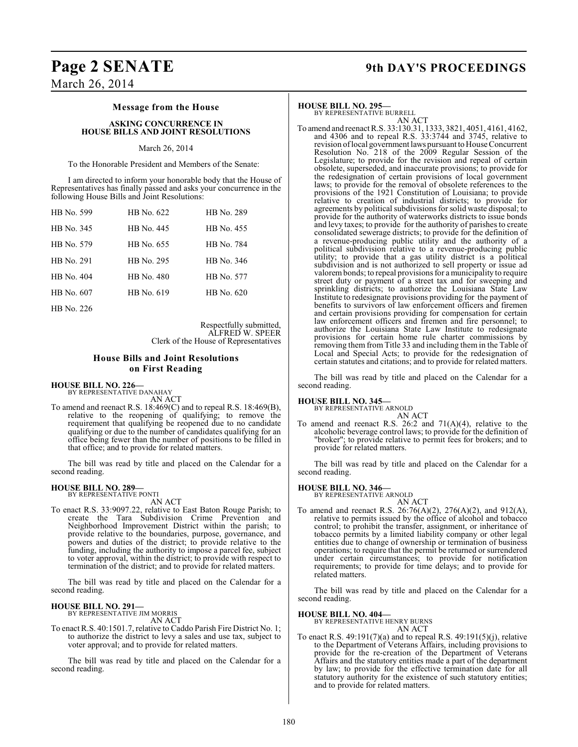### **Page 2 SENATE 9th DAY'S PROCEEDINGS**

### March 26, 2014

### **Message from the House**

#### **ASKING CONCURRENCE IN HOUSE BILLS AND JOINT RESOLUTIONS**

#### March 26, 2014

To the Honorable President and Members of the Senate:

I am directed to inform your honorable body that the House of Representatives has finally passed and asks your concurrence in the following House Bills and Joint Resolutions:

| HB No. 599 | HB No. 622 | HB No. 289 |
|------------|------------|------------|
| HB No. 345 | HB No. 445 | HB No. 455 |
| HB No. 579 | HB No. 655 | HB No. 784 |
| HB No. 291 | HB No. 295 | HB No. 346 |
| HB No. 404 | HB No. 480 | HB No. 577 |
| HB No. 607 | HB No. 619 | HB No. 620 |
| HB No. 226 |            |            |

Respectfully submitted, ALFRED W. SPEER Clerk of the House of Representatives

### **House Bills and Joint Resolutions on First Reading**

#### **HOUSE BILL NO. 226—**

BY REPRESENTATIVE DANAHAY AN ACT

To amend and reenact R.S. 18:469(C) and to repeal R.S. 18:469(B), relative to the reopening of qualifying; to remove the requirement that qualifying be reopened due to no candidate qualifying or due to the number of candidates qualifying for an office being fewer than the number of positions to be filled in that office; and to provide for related matters.

The bill was read by title and placed on the Calendar for a second reading.

#### **HOUSE BILL NO. 289—**

BY REPRESENTATIVE PONTI AN ACT

To enact R.S. 33:9097.22, relative to East Baton Rouge Parish; to create the Tara Subdivision Crime Prevention and Neighborhood Improvement District within the parish; to provide relative to the boundaries, purpose, governance, and powers and duties of the district; to provide relative to the funding, including the authority to impose a parcel fee, subject to voter approval, within the district; to provide with respect to termination of the district; and to provide for related matters.

The bill was read by title and placed on the Calendar for a second reading.

## **HOUSE BILL NO. 291—** BY REPRESENTATIVE JIM MORRIS

AN ACT

To enact R.S. 40:1501.7, relative to Caddo Parish Fire District No. 1; to authorize the district to levy a sales and use tax, subject to voter approval; and to provide for related matters.

The bill was read by title and placed on the Calendar for a second reading.

#### **HOUSE BILL NO. 295—**

BY REPRESENTATIVE BURRELL

AN ACT To amend and reenact R.S. 33:130.31, 1333, 3821, 4051, 4161, 4162, and 4306 and to repeal R.S. 33:3744 and 3745, relative to revision of local government laws pursuant to House Concurrent Resolution No. 218 of the 2009 Regular Session of the Legislature; to provide for the revision and repeal of certain obsolete, superseded, and inaccurate provisions; to provide for the redesignation of certain provisions of local government laws; to provide for the removal of obsolete references to the provisions of the 1921 Constitution of Louisiana; to provide relative to creation of industrial districts; to provide for agreements by political subdivisions for solid waste disposal; to provide for the authority of waterworks districts to issue bonds and levy taxes; to provide for the authority of parishes to create consolidated sewerage districts; to provide for the definition of a revenue-producing public utility and the authority of a political subdivision relative to a revenue-producing public utility; to provide that a gas utility district is a political subdivision and is not authorized to sell property or issue ad valorem bonds; to repeal provisions for a municipality to require street duty or payment of a street tax and for sweeping and sprinkling districts; to authorize the Louisiana State Law Institute to redesignate provisions providing for the payment of benefits to survivors of law enforcement officers and firemen and certain provisions providing for compensation for certain law enforcement officers and firemen and fire personnel; to authorize the Louisiana State Law Institute to redesignate provisions for certain home rule charter commissions by removing them from Title 33 and including them in the Table of Local and Special Acts; to provide for the redesignation of certain statutes and citations; and to provide for related matters.

The bill was read by title and placed on the Calendar for a second reading.

## **HOUSE BILL NO. 345—** BY REPRESENTATIVE ARNOLD

AN ACT

To amend and reenact R.S. 26:2 and  $71(A)(4)$ , relative to the alcoholic beverage control laws; to provide for the definition of "broker"; to provide relative to permit fees for brokers; and to provide for related matters.

The bill was read by title and placed on the Calendar for a second reading.

#### **HOUSE BILL NO. 346—** BY REPRESENTATIVE ARNOLD

AN ACT

To amend and reenact R.S. 26:76(A)(2), 276(A)(2), and 912(A), relative to permits issued by the office of alcohol and tobacco control; to prohibit the transfer, assignment, or inheritance of tobacco permits by a limited liability company or other legal entities due to change of ownership or termination of business operations; to require that the permit be returned or surrendered under certain circumstances; to provide for notification requirements; to provide for time delays; and to provide for related matters.

The bill was read by title and placed on the Calendar for a second reading.

#### **HOUSE BILL NO. 404—**

BY REPRESENTATIVE HENRY BURNS

AN ACT To enact R.S. 49:191(7)(a) and to repeal R.S. 49:191(5)(j), relative to the Department of Veterans Affairs, including provisions to provide for the re-creation of the Department of Veterans Affairs and the statutory entities made a part of the department by law; to provide for the effective termination date for all statutory authority for the existence of such statutory entities; and to provide for related matters.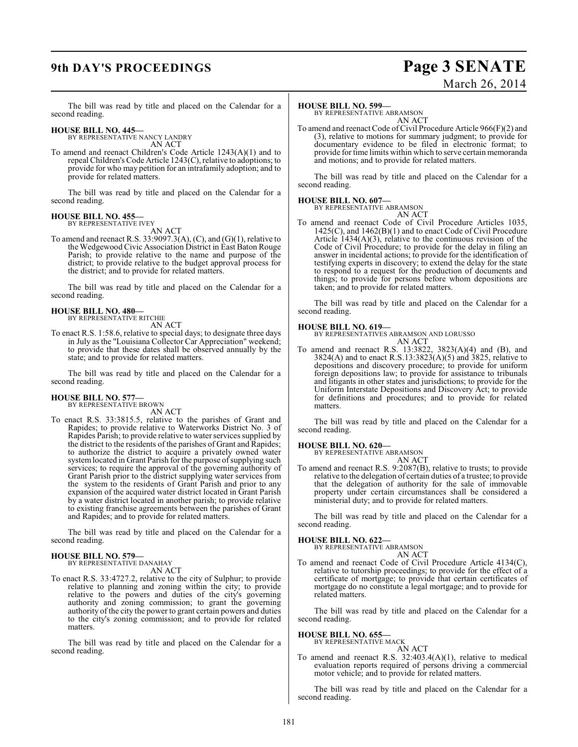## **9th DAY'S PROCEEDINGS Page 3 SENATE**

# March 26, 2014

The bill was read by title and placed on the Calendar for a second reading.

## **HOUSE BILL NO. 445—** BY REPRESENTATIVE NANCY LANDRY

AN ACT

To amend and reenact Children's Code Article 1243(A)(1) and to repeal Children's Code Article 1243(C), relative to adoptions; to provide for who may petition for an intrafamily adoption; and to provide for related matters.

The bill was read by title and placed on the Calendar for a second reading.

#### **HOUSE BILL NO. 455—** BY REPRESENTATIVE IVEY

AN ACT

To amend and reenact R.S. 33:9097.3(A),  $(C)$ , and  $(G)(1)$ , relative to the Wedgewood Civic Association District in East Baton Rouge Parish; to provide relative to the name and purpose of the district; to provide relative to the budget approval process for the district; and to provide for related matters.

The bill was read by title and placed on the Calendar for a second reading.

#### **HOUSE BILL NO. 480—** BY REPRESENTATIVE RITCHIE

AN ACT

To enact R.S. 1:58.6, relative to special days; to designate three days in July asthe "Louisiana Collector Car Appreciation" weekend; to provide that these dates shall be observed annually by the state; and to provide for related matters.

The bill was read by title and placed on the Calendar for a second reading.

#### **HOUSE BILL NO. 577—** BY REPRESENTATIVE BROWN

AN ACT

To enact R.S. 33:3815.5, relative to the parishes of Grant and Rapides; to provide relative to Waterworks District No. 3 of Rapides Parish; to provide relative to water services supplied by the district to the residents of the parishes of Grant and Rapides; to authorize the district to acquire a privately owned water system located in Grant Parish for the purpose of supplying such services; to require the approval of the governing authority of Grant Parish prior to the district supplying water services from the system to the residents of Grant Parish and prior to any expansion of the acquired water district located in Grant Parish by a water district located in another parish; to provide relative to existing franchise agreements between the parishes of Grant and Rapides; and to provide for related matters.

The bill was read by title and placed on the Calendar for a second reading.

#### **HOUSE BILL NO. 579—** BY REPRESENTATIVE DANAHAY

AN ACT

To enact R.S. 33:4727.2, relative to the city of Sulphur; to provide relative to planning and zoning within the city; to provide relative to the powers and duties of the city's governing authority and zoning commission; to grant the governing authority of the city the power to grant certain powers and duties to the city's zoning commission; and to provide for related matters.

The bill was read by title and placed on the Calendar for a second reading.

#### **HOUSE BILL NO. 599—**

BY REPRESENTATIVE ABRAMSON AN ACT

To amend and reenact Code of Civil Procedure Article 966(F)(2) and (3), relative to motions for summary judgment; to provide for documentary evidence to be filed in electronic format; to provide for time limits within which to serve certain memoranda and motions; and to provide for related matters.

The bill was read by title and placed on the Calendar for a second reading.

### **HOUSE BILL NO. 607—**

BY REPRESENTATIVE ABRAMSON

AN ACT To amend and reenact Code of Civil Procedure Articles 1035, 1425(C), and 1462(B)(1) and to enact Code of Civil Procedure Article  $1434(A)(3)$ , relative to the continuous revision of the Code of Civil Procedure; to provide for the delay in filing an answer in incidental actions; to provide for the identification of testifying experts in discovery; to extend the delay for the state to respond to a request for the production of documents and things; to provide for persons before whom depositions are taken; and to provide for related matters.

The bill was read by title and placed on the Calendar for a second reading.

#### **HOUSE BILL NO. 619—**

BY REPRESENTATIVES ABRAMSON AND LORUSSO AN ACT

To amend and reenact R.S. 13:3822, 3823(A)(4) and (B), and 3824(A) and to enact R.S.13:3823(A)(5) and 3825, relative to depositions and discovery procedure; to provide for uniform foreign depositions law; to provide for assistance to tribunals and litigants in other states and jurisdictions; to provide for the Uniform Interstate Depositions and Discovery Act; to provide for definitions and procedures; and to provide for related matters.

The bill was read by title and placed on the Calendar for a second reading.

#### **HOUSE BILL NO. 620—**

BY REPRESENTATIVE ABRAMSON AN ACT

To amend and reenact R.S. 9:2087(B), relative to trusts; to provide relative to the delegation of certain duties of a trustee; to provide that the delegation of authority for the sale of immovable property under certain circumstances shall be considered a ministerial duty; and to provide for related matters.

The bill was read by title and placed on the Calendar for a second reading.

#### **HOUSE BILL NO. 622—**

BY REPRESENTATIVE ABRAMSON AN ACT

To amend and reenact Code of Civil Procedure Article 4134(C), relative to tutorship proceedings; to provide for the effect of a certificate of mortgage; to provide that certain certificates of mortgage do no constitute a legal mortgage; and to provide for related matters.

The bill was read by title and placed on the Calendar for a second reading.

#### **HOUSE BILL NO. 655—**

BY REPRESENTATIVE MACK AN ACT

To amend and reenact R.S. 32:403.4(A)(1), relative to medical evaluation reports required of persons driving a commercial motor vehicle; and to provide for related matters.

The bill was read by title and placed on the Calendar for a second reading.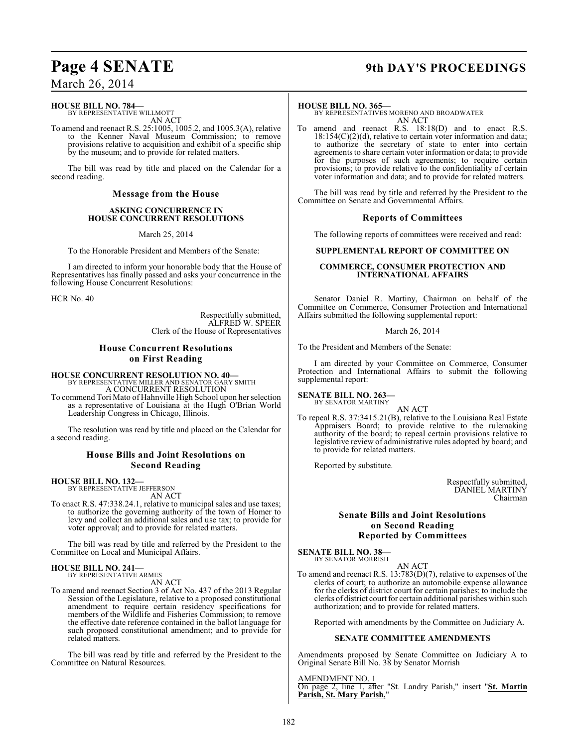## **Page 4 SENATE 9th DAY'S PROCEEDINGS**

March 26, 2014

### **HOUSE BILL NO. 784—**

BY REPRESENTATIVE WILLMOTT AN ACT

To amend and reenact R.S. 25:1005, 1005.2, and 1005.3(A), relative to the Kenner Naval Museum Commission; to remove provisions relative to acquisition and exhibit of a specific ship by the museum; and to provide for related matters.

The bill was read by title and placed on the Calendar for a second reading.

#### **Message from the House**

#### **ASKING CONCURRENCE IN HOUSE CONCURRENT RESOLUTIONS**

March 25, 2014

To the Honorable President and Members of the Senate:

I am directed to inform your honorable body that the House of Representatives has finally passed and asks your concurrence in the following House Concurrent Resolutions:

HCR No. 40

Respectfully submitted, ALFRED W. SPEER Clerk of the House of Representatives

### **House Concurrent Resolutions on First Reading**

**HOUSE CONCURRENT RESOLUTION NO. 40—** BY REPRESENTATIVE MILLER AND SENATOR GARY SMITH A CONCURRENT RESOLUTION

To commend Tori Mato of Hahnville High School upon her selection as a representative of Louisiana at the Hugh O'Brian World Leadership Congress in Chicago, Illinois.

The resolution was read by title and placed on the Calendar for a second reading.

#### **House Bills and Joint Resolutions on Second Reading**

## **HOUSE BILL NO. 132—** BY REPRESENTATIVE JEFFERSON

AN ACT

To enact R.S. 47:338.24.1, relative to municipal sales and use taxes; to authorize the governing authority of the town of Homer to levy and collect an additional sales and use tax; to provide for voter approval; and to provide for related matters.

The bill was read by title and referred by the President to the Committee on Local and Municipal Affairs.

#### **HOUSE BILL NO. 241—** BY REPRESENTATIVE ARMES

AN ACT

To amend and reenact Section 3 of Act No. 437 of the 2013 Regular Session of the Legislature, relative to a proposed constitutional amendment to require certain residency specifications for members of the Wildlife and Fisheries Commission; to remove the effective date reference contained in the ballot language for such proposed constitutional amendment; and to provide for related matters.

The bill was read by title and referred by the President to the Committee on Natural Resources.

#### **HOUSE BILL NO. 365—**

BY REPRESENTATIVES MORENO AND BROADWATER AN ACT

To amend and reenact R.S. 18:18(D) and to enact R.S.  $18:154(C)(2)(d)$ , relative to certain voter information and data; to authorize the secretary of state to enter into certain agreements to share certain voter information or data; to provide for the purposes of such agreements; to require certain provisions; to provide relative to the confidentiality of certain voter information and data; and to provide for related matters.

The bill was read by title and referred by the President to the Committee on Senate and Governmental Affairs.

#### **Reports of Committees**

The following reports of committees were received and read:

#### **SUPPLEMENTAL REPORT OF COMMITTEE ON**

#### **COMMERCE, CONSUMER PROTECTION AND INTERNATIONAL AFFAIRS**

Senator Daniel R. Martiny, Chairman on behalf of the Committee on Commerce, Consumer Protection and International Affairs submitted the following supplemental report:

#### March 26, 2014

To the President and Members of the Senate:

I am directed by your Committee on Commerce, Consumer Protection and International Affairs to submit the following supplemental report:

#### **SENATE BILL NO. 263—** BY SENATOR MARTINY

AN ACT

To repeal R.S. 37:3415.21(B), relative to the Louisiana Real Estate Appraisers Board; to provide relative to the rulemaking authority of the board; to repeal certain provisions relative to legislative review of administrative rules adopted by board; and to provide for related matters.

Reported by substitute.

Respectfully submitted, DANIEL MARTINY Chairman

#### **Senate Bills and Joint Resolutions on Second Reading Reported by Committees**

**SENATE BILL NO. 38—** BY SENATOR MORRISH

AN ACT

To amend and reenact R.S. 13:783(D)(7), relative to expenses of the clerks of court; to authorize an automobile expense allowance for the clerks of district court for certain parishes; to include the clerks of district court for certain additional parishes within such authorization; and to provide for related matters.

Reported with amendments by the Committee on Judiciary A.

#### **SENATE COMMITTEE AMENDMENTS**

Amendments proposed by Senate Committee on Judiciary A to Original Senate Bill No. 38 by Senator Morrish

AMENDMENT NO. 1

On page 2, line 1, after "St. Landry Parish," insert "**St. Martin Parish, St. Mary Parish,**"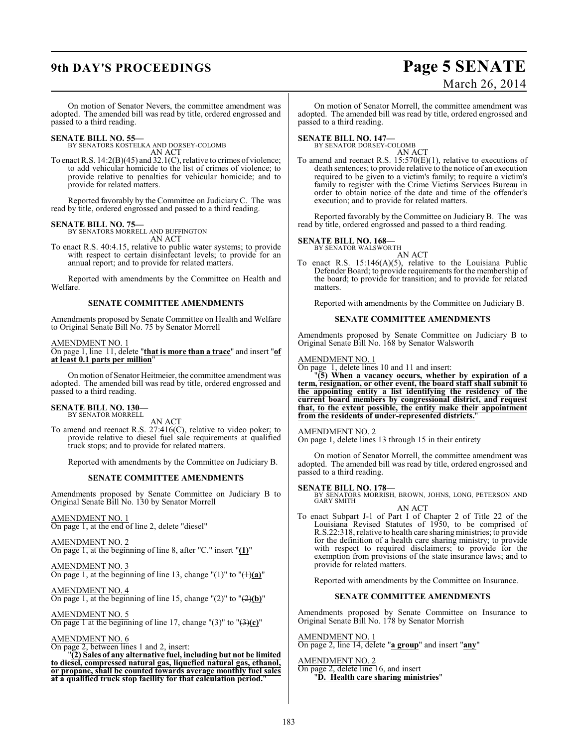## **9th DAY'S PROCEEDINGS Page 5 SENATE**

# March 26, 2014

On motion of Senator Nevers, the committee amendment was adopted. The amended bill was read by title, ordered engrossed and passed to a third reading.

**SENATE BILL NO. 55—** BY SENATORS KOSTELKA AND DORSEY-COLOMB AN ACT

To enact R.S. 14:2(B)(45) and 32.1(C), relative to crimes of violence; to add vehicular homicide to the list of crimes of violence; to provide relative to penalties for vehicular homicide; and to provide for related matters.

Reported favorably by the Committee on Judiciary C. The was read by title, ordered engrossed and passed to a third reading.

**SENATE BILL NO. 75—** BY SENATORS MORRELL AND BUFFINGTON

AN ACT To enact R.S. 40:4.15, relative to public water systems; to provide with respect to certain disinfectant levels; to provide for an annual report; and to provide for related matters.

Reported with amendments by the Committee on Health and Welfare.

#### **SENATE COMMITTEE AMENDMENTS**

Amendments proposed by Senate Committee on Health and Welfare to Original Senate Bill No. 75 by Senator Morrell

#### AMENDMENT NO. 1

On page 1, line 11, delete "**that is more than a trace**" and insert "**of at least 0.1 parts per million**"

On motion of Senator Heitmeier, the committee amendment was adopted. The amended bill was read by title, ordered engrossed and passed to a third reading.

#### **SENATE BILL NO. 130—** BY SENATOR MORRELL

AN ACT

To amend and reenact R.S. 27:416(C), relative to video poker; to provide relative to diesel fuel sale requirements at qualified truck stops; and to provide for related matters.

Reported with amendments by the Committee on Judiciary B.

#### **SENATE COMMITTEE AMENDMENTS**

Amendments proposed by Senate Committee on Judiciary B to Original Senate Bill No. 130 by Senator Morrell

AMENDMENT NO. 1

On page 1, at the end of line 2, delete "diesel"

AMENDMENT NO. 2 On page 1, at the beginning of line 8, after "C." insert "**(1)**"

AMENDMENT NO. 3 On page 1, at the beginning of line 13, change " $(1)$ " to " $(1)(a)$ "

AMENDMENT NO. 4 On page 1, at the beginning of line 15, change "(2)" to "(2)**(b)**"

AMENDMENT NO. 5 On page 1 at the beginning of line 17, change "(3)" to "(3)**(c)**"

#### AMENDMENT NO. 6

On page 2, between lines 1 and 2, insert:

"**(2) Sales of any alternative fuel, including but not be limited to diesel, compressed natural gas, liquefied natural gas, ethanol, or propane, shall be counted towards average monthly fuel sales at a qualified truck stop facility for that calculation period.**"

On motion of Senator Morrell, the committee amendment was adopted. The amended bill was read by title, ordered engrossed and passed to a third reading.

**SENATE BILL NO. 147—** BY SENATOR DORSEY-COLOMB AN ACT

To amend and reenact R.S. 15:570(E)(1), relative to executions of death sentences; to provide relative to the notice of an execution required to be given to a victim's family; to require a victim's family to register with the Crime Victims Services Bureau in order to obtain notice of the date and time of the offender's execution; and to provide for related matters.

Reported favorably by the Committee on Judiciary B. The was read by title, ordered engrossed and passed to a third reading.

## **SENATE BILL NO. 168—**<br>BY SENATOR WALSWORTH

AN ACT

To enact R.S. 15:146(A)(5), relative to the Louisiana Public Defender Board; to provide requirements for the membership of the board; to provide for transition; and to provide for related matters.

Reported with amendments by the Committee on Judiciary B.

#### **SENATE COMMITTEE AMENDMENTS**

Amendments proposed by Senate Committee on Judiciary B to Original Senate Bill No. 168 by Senator Walsworth

#### AMENDMENT NO. 1

On page 1, delete lines 10 and 11 and insert:

"**(5) When a vacancy occurs, whether by expiration of a term, resignation, or other event, the board staff shall submit to the appointing entity a list identifying the residency of the current board members by congressional district, and request that, to the extent possible, the entity make their appointment from the residents of under-represented districts.**"

#### AMENDMENT NO. 2

On page 1, delete lines 13 through 15 in their entirety

On motion of Senator Morrell, the committee amendment was adopted. The amended bill was read by title, ordered engrossed and passed to a third reading.

#### **SENATE BILL NO. 178—**

BY SENATORS MORRISH, BROWN, JOHNS, LONG, PETERSON AND GARY SMITH

AN ACT

To enact Subpart J-1 of Part I of Chapter 2 of Title 22 of the Louisiana Revised Statutes of 1950, to be comprised of R.S.22:318, relative to health care sharing ministries; to provide for the definition of a health care sharing ministry; to provide with respect to required disclaimers; to provide for the exemption from provisions of the state insurance laws; and to provide for related matters.

Reported with amendments by the Committee on Insurance.

### **SENATE COMMITTEE AMENDMENTS**

Amendments proposed by Senate Committee on Insurance to Original Senate Bill No. 178 by Senator Morrish

AMENDMENT NO. 1 On page 2, line 14, delete "**a group**" and insert "**any**"

AMENDMENT NO. 2 On page 2, delete line 16, and insert

"**D. Health care sharing ministries**"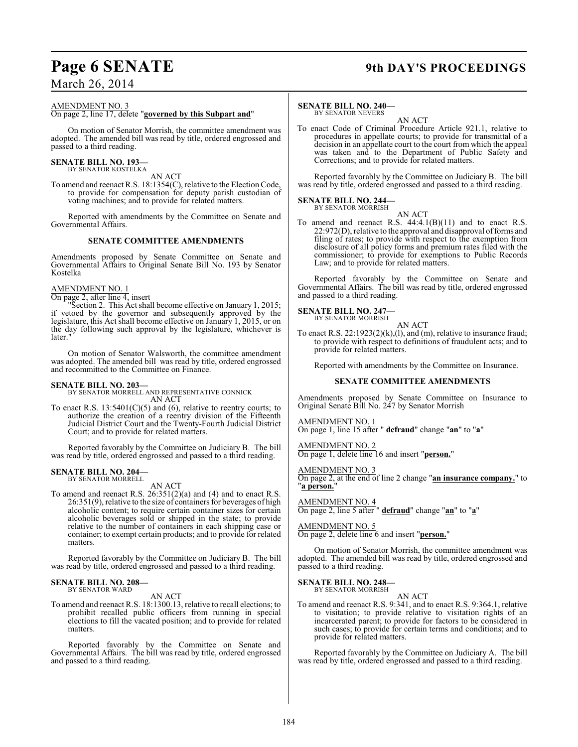## **Page 6 SENATE 9th DAY'S PROCEEDINGS**

#### AMENDMENT NO. 3

#### On page 2, line 17, delete "**governed by this Subpart and**"

On motion of Senator Morrish, the committee amendment was adopted. The amended bill was read by title, ordered engrossed and passed to a third reading.

#### **SENATE BILL NO. 193—** BY SENATOR KOSTELKA

AN ACT

To amend and reenact R.S. 18:1354(C), relative to the Election Code, to provide for compensation for deputy parish custodian of voting machines; and to provide for related matters.

Reported with amendments by the Committee on Senate and Governmental Affairs.

#### **SENATE COMMITTEE AMENDMENTS**

Amendments proposed by Senate Committee on Senate and Governmental Affairs to Original Senate Bill No. 193 by Senator Kostelka

#### AMENDMENT NO. 1

On page 2, after line 4, insert

"Section 2. This Actshall become effective on January 1, 2015; if vetoed by the governor and subsequently approved by the legislature, this Act shall become effective on January 1, 2015, or on the day following such approval by the legislature, whichever is later.'

On motion of Senator Walsworth, the committee amendment was adopted. The amended bill was read by title, ordered engrossed and recommitted to the Committee on Finance.

#### **SENATE BILL NO. 203—**

BY SENATOR MORRELL AND REPRESENTATIVE CONNICK AN ACT

To enact R.S.  $13:5401(C)(5)$  and (6), relative to reentry courts; to authorize the creation of a reentry division of the Fifteenth Judicial District Court and the Twenty-Fourth Judicial District Court; and to provide for related matters.

Reported favorably by the Committee on Judiciary B. The bill was read by title, ordered engrossed and passed to a third reading.

## **SENATE BILL NO. 204—** BY SENATOR MORRELL

AN ACT

To amend and reenact R.S.  $26:351(2)(a)$  and (4) and to enact R.S. 26:351(9), relative to the size of containers for beverages of high alcoholic content; to require certain container sizes for certain alcoholic beverages sold or shipped in the state; to provide relative to the number of containers in each shipping case or container; to exempt certain products; and to provide for related matters.

Reported favorably by the Committee on Judiciary B. The bill was read by title, ordered engrossed and passed to a third reading.

#### **SENATE BILL NO. 208—** BY SENATOR WARD

### AN ACT

To amend and reenact R.S. 18:1300.13, relative to recall elections; to prohibit recalled public officers from running in special elections to fill the vacated position; and to provide for related matters.

Reported favorably by the Committee on Senate and Governmental Affairs. The bill was read by title, ordered engrossed and passed to a third reading.

#### **SENATE BILL NO. 240—** BY SENATOR NEVERS

AN ACT

To enact Code of Criminal Procedure Article 921.1, relative to procedures in appellate courts; to provide for transmittal of a decision in an appellate court to the court from which the appeal was taken and to the Department of Public Safety and Corrections; and to provide for related matters.

Reported favorably by the Committee on Judiciary B. The bill was read by title, ordered engrossed and passed to a third reading.

#### **SENATE BILL NO. 244—** BY SENATOR MORRISH

AN ACT

To amend and reenact R.S.  $44:4.1(B)(11)$  and to enact R.S. 22:972(D), relative to the approval and disapproval of forms and filing of rates; to provide with respect to the exemption from disclosure of all policy forms and premium rates filed with the commissioner; to provide for exemptions to Public Records Law; and to provide for related matters.

Reported favorably by the Committee on Senate and Governmental Affairs. The bill was read by title, ordered engrossed and passed to a third reading.

#### **SENATE BILL NO. 247—**

BY SENATOR MORRISH AN ACT

To enact R.S.  $22:1923(2)(k)$ , (1), and (m), relative to insurance fraud; to provide with respect to definitions of fraudulent acts; and to provide for related matters.

Reported with amendments by the Committee on Insurance.

#### **SENATE COMMITTEE AMENDMENTS**

Amendments proposed by Senate Committee on Insurance to Original Senate Bill No. 247 by Senator Morrish

AMENDMENT NO. 1 On page 1, line 15 after " **defraud**" change "**an**" to "**a**"

AMENDMENT NO. 2 On page 1, delete line 16 and insert "**person.**"

#### AMENDMENT NO. 3

On page 2, at the end of line 2 change "**an insurance company.**" to "**a person.**"

AMENDMENT NO. 4 On page 2, line 5 after " **defraud**" change "**an**" to "**a**"

AMENDMENT NO. 5

On page 2, delete line 6 and insert "**person.**"

On motion of Senator Morrish, the committee amendment was adopted. The amended bill was read by title, ordered engrossed and passed to a third reading.

#### **SENATE BILL NO. 248—** BY SENATOR MORRISH

#### AN ACT

To amend and reenact R.S. 9:341, and to enact R.S. 9:364.1, relative to visitation; to provide relative to visitation rights of an incarcerated parent; to provide for factors to be considered in such cases; to provide for certain terms and conditions; and to provide for related matters.

Reported favorably by the Committee on Judiciary A. The bill was read by title, ordered engrossed and passed to a third reading.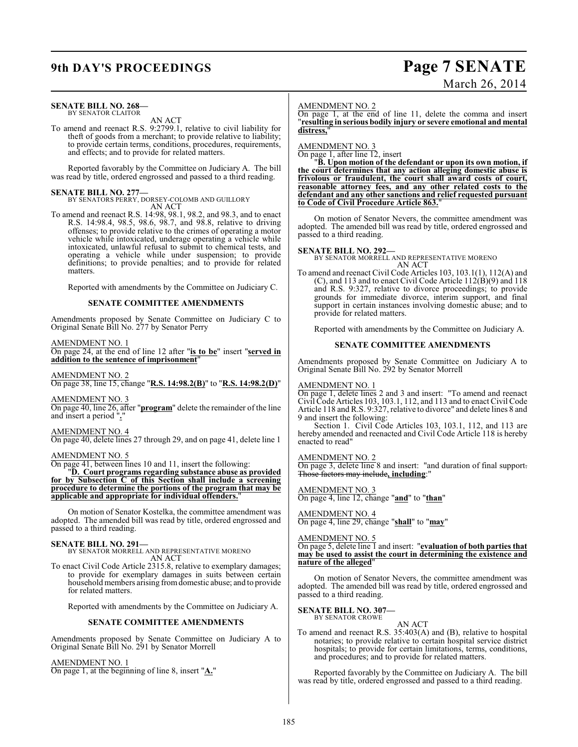### **9th DAY'S PROCEEDINGS Page 7 SENATE**

# March 26, 2014

#### **SENATE BILL NO. 268—** BY SENATOR CLAITOR

AN ACT

To amend and reenact R.S. 9:2799.1, relative to civil liability for theft of goods from a merchant; to provide relative to liability; to provide certain terms, conditions, procedures, requirements, and effects; and to provide for related matters.

Reported favorably by the Committee on Judiciary A. The bill was read by title, ordered engrossed and passed to a third reading.

**SENATE BILL NO. 277—** BY SENATORS PERRY, DORSEY-COLOMB AND GUILLORY AN ACT

To amend and reenact R.S. 14:98, 98.1, 98.2, and 98.3, and to enact R.S. 14:98.4, 98.5, 98.6, 98.7, and 98.8, relative to driving offenses; to provide relative to the crimes of operating a motor vehicle while intoxicated, underage operating a vehicle while intoxicated, unlawful refusal to submit to chemical tests, and operating a vehicle while under suspension; to provide definitions; to provide penalties; and to provide for related matters.

Reported with amendments by the Committee on Judiciary C.

#### **SENATE COMMITTEE AMENDMENTS**

Amendments proposed by Senate Committee on Judiciary C to Original Senate Bill No. 277 by Senator Perry

AMENDMENT NO. 1

On page 24, at the end of line 12 after "**is to be**" insert "**served in addition to the sentence of imprisonment**"

AMENDMENT NO. 2

On page 38, line 15, change "**R.S. 14:98.2(B)**" to "**R.S. 14:98.2(D)**"

AMENDMENT NO. 3 On page 40, line 26, after "**program**" delete the remainder of the line and insert a period "**.**"

#### AMENDMENT NO. 4

On page 40, delete lines 27 through 29, and on page 41, delete line 1

#### AMENDMENT NO. 5

On page 41, between lines 10 and 11, insert the following:

"**D. Court programs regarding substance abuse as provided for by Subsection C of this Section shall include a screening procedure to determine the portions of the program that may be applicable and appropriate for individual offenders.**"

On motion of Senator Kostelka, the committee amendment was adopted. The amended bill was read by title, ordered engrossed and passed to a third reading.

**SENATE BILL NO. 291—** BY SENATOR MORRELL AND REPRESENTATIVE MORENO AN ACT

To enact Civil Code Article 2315.8, relative to exemplary damages; to provide for exemplary damages in suits between certain household members arising from domestic abuse; and to provide for related matters.

Reported with amendments by the Committee on Judiciary A.

#### **SENATE COMMITTEE AMENDMENTS**

Amendments proposed by Senate Committee on Judiciary A to Original Senate Bill No. 291 by Senator Morrell

#### AMENDMENT NO. 1

On page 1, at the beginning of line 8, insert "**A.**"

#### AMENDMENT NO. 2

On page 1, at the end of line 11, delete the comma and insert "**resulting in serious bodily injury or severe emotional and mental distress,**"

AMENDMENT NO. 3

On page 1, after line 12, insert

"**B. Upon motion of the defendant or upon its own motion, if the court determines that any action alleging domestic abuse is frivolous or fraudulent, the court shall award costs of court, reasonable attorney fees, and any other related costs to the defendant and any other sanctions and relief requested pursuant to Code of Civil Procedure Article 863.**"

On motion of Senator Nevers, the committee amendment was adopted. The amended bill was read by title, ordered engrossed and passed to a third reading.

#### **SENATE BILL NO. 292—**

BY SENATOR MORRELL AND REPRESENTATIVE MORENO AN ACT

To amend and reenact Civil Code Articles 103, 103.1(1), 112(A) and (C), and 113 and to enact Civil Code Article  $112(B)(9)$  and 118 and R.S. 9:327, relative to divorce proceedings; to provide grounds for immediate divorce, interim support, and final support in certain instances involving domestic abuse; and to provide for related matters.

Reported with amendments by the Committee on Judiciary A.

#### **SENATE COMMITTEE AMENDMENTS**

Amendments proposed by Senate Committee on Judiciary A to Original Senate Bill No. 292 by Senator Morrell

#### AMENDMENT NO. 1

On page 1, delete lines 2 and 3 and insert: "To amend and reenact Civil Code Articles 103, 103.1, 112, and 113 and to enact Civil Code Article 118 and R.S. 9:327, relative to divorce" and delete lines 8 and 9 and insert the following:

Section 1. Civil Code Articles 103, 103.1, 112, and 113 are hereby amended and reenacted and Civil Code Article 118 is hereby enacted to read"

#### AMENDMENT NO. 2

On page 3, delete line 8 and insert: "and duration of final support. Those factors may include**, including**:"

### AMENDMENT NO. 3

On page 4, line 12, change "**and**" to "**than**"

AMENDMENT NO. 4 On page 4, line 29, change "**shall**" to "**may**"

#### AMENDMENT NO. 5

On page 5, delete line 1 and insert: "**evaluation of both parties that may be used to assist the court in determining the existence and nature of the alleged**"

On motion of Senator Nevers, the committee amendment was adopted. The amended bill was read by title, ordered engrossed and passed to a third reading.

#### **SENATE BILL NO. 307—** BY SENATOR CROWE

### AN ACT

To amend and reenact R.S. 35:403(A) and (B), relative to hospital notaries; to provide relative to certain hospital service district hospitals; to provide for certain limitations, terms, conditions, and procedures; and to provide for related matters.

Reported favorably by the Committee on Judiciary A. The bill was read by title, ordered engrossed and passed to a third reading.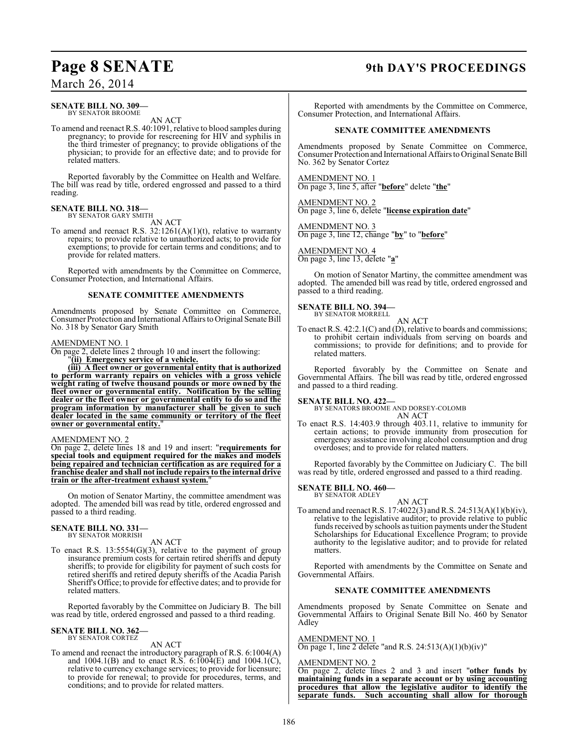#### **SENATE BILL NO. 309—** BY SENATOR BROOME

AN ACT

To amend and reenact R.S. 40:1091, relative to blood samples during pregnancy; to provide for rescreening for HIV and syphilis in the third trimester of pregnancy; to provide obligations of the physician; to provide for an effective date; and to provide for related matters.

Reported favorably by the Committee on Health and Welfare. The bill was read by title, ordered engrossed and passed to a third reading.

#### **SENATE BILL NO. 318—** BY SENATOR GARY SMITH

AN ACT

To amend and reenact R.S. 32:1261(A)(1)(t), relative to warranty repairs; to provide relative to unauthorized acts; to provide for exemptions; to provide for certain terms and conditions; and to provide for related matters.

Reported with amendments by the Committee on Commerce, Consumer Protection, and International Affairs.

#### **SENATE COMMITTEE AMENDMENTS**

Amendments proposed by Senate Committee on Commerce, Consumer Protection and International Affairs to Original Senate Bill No. 318 by Senator Gary Smith

#### AMENDMENT NO. 1

On page 2, delete lines 2 through 10 and insert the following:

"**(ii) Emergency service of a vehicle.**

**(iii) A fleet owner or governmental entity that is authorized to perform warranty repairs on vehicles with a gross vehicle weight rating of twelve thousand pounds or more owned by the fleet owner or governmental entity. Notification by the selling dealer or the fleet owner or governmental entity to do so and the program information by manufacturer shall be given to such dealer located in the same community or territory of the fleet owner or governmental entity.**"

#### AMENDMENT NO. 2

On page 2, delete lines 18 and 19 and insert: "**requirements for special tools and equipment required for the makes and models being repaired and technician certification as are required for a franchise dealer and shall not include repairs to the internal drive train or the after-treatment exhaust system.**"

On motion of Senator Martiny, the committee amendment was adopted. The amended bill was read by title, ordered engrossed and passed to a third reading.

## **SENATE BILL NO. 331—** BY SENATOR MORRISH

AN ACT

To enact R.S. 13:5554(G)(3), relative to the payment of group insurance premium costs for certain retired sheriffs and deputy sheriffs; to provide for eligibility for payment of such costs for retired sheriffs and retired deputy sheriffs of the Acadia Parish Sheriff's Office; to provide for effective dates; and to provide for related matters.

Reported favorably by the Committee on Judiciary B. The bill was read by title, ordered engrossed and passed to a third reading.

### **SENATE BILL NO. 362—** BY SENATOR CORTEZ

AN ACT

To amend and reenact the introductory paragraph of R.S. 6:1004(A) and 1004.1(B) and to enact R.S. 6:1004(E) and 1004.1(C), relative to currency exchange services; to provide for licensure; to provide for renewal; to provide for procedures, terms, and conditions; and to provide for related matters.

## **Page 8 SENATE 9th DAY'S PROCEEDINGS**

Reported with amendments by the Committee on Commerce, Consumer Protection, and International Affairs.

### **SENATE COMMITTEE AMENDMENTS**

Amendments proposed by Senate Committee on Commerce, Consumer Protection and International Affairs to Original Senate Bill No. 362 by Senator Cortez

AMENDMENT NO. 1 On page 3, line 5, after "**before**" delete "**the**"

AMENDMENT NO. 2 On page 3, line 6, delete "**license expiration date**"

AMENDMENT NO. 3 On page 3, line 12, change "**by**" to "**before**"

AMENDMENT NO. 4 On page 3, line 13, delete "**a**"

On motion of Senator Martiny, the committee amendment was adopted. The amended bill was read by title, ordered engrossed and passed to a third reading.

## **SENATE BILL NO. 394—** BY SENATOR MORRELL

AN ACT

To enact R.S. 42:2.1(C) and (D), relative to boards and commissions; to prohibit certain individuals from serving on boards and commissions; to provide for definitions; and to provide for related matters.

Reported favorably by the Committee on Senate and Governmental Affairs. The bill was read by title, ordered engrossed and passed to a third reading.

#### **SENATE BILL NO. 422—**

BY SENATORS BROOME AND DORSEY-COLOMB AN ACT

To enact R.S. 14:403.9 through 403.11, relative to immunity for certain actions; to provide immunity from prosecution for emergency assistance involving alcohol consumption and drug overdoses; and to provide for related matters.

Reported favorably by the Committee on Judiciary C. The bill was read by title, ordered engrossed and passed to a third reading.

#### **SENATE BILL NO. 460—** BY SENATOR ADLEY

- AN ACT
- To amend and reenactR.S. 17:4022(3) and R.S. 24:513(A)(1)(b)(iv), relative to the legislative auditor; to provide relative to public funds received by schools as tuition payments under the Student Scholarships for Educational Excellence Program; to provide authority to the legislative auditor; and to provide for related matters.

Reported with amendments by the Committee on Senate and Governmental Affairs.

#### **SENATE COMMITTEE AMENDMENTS**

Amendments proposed by Senate Committee on Senate and Governmental Affairs to Original Senate Bill No. 460 by Senator Adley

### AMENDMENT NO. 1

On page 1, line 2 delete "and R.S.  $24:513(A)(1)(b)(iv)$ "

#### AMENDMENT NO. 2

On page 2, delete lines 2 and 3 and insert "**other funds by maintaining funds in a separate account or by using accounting procedures that allow the legislative auditor to identify the separate funds. Such accounting shall allow for thorough**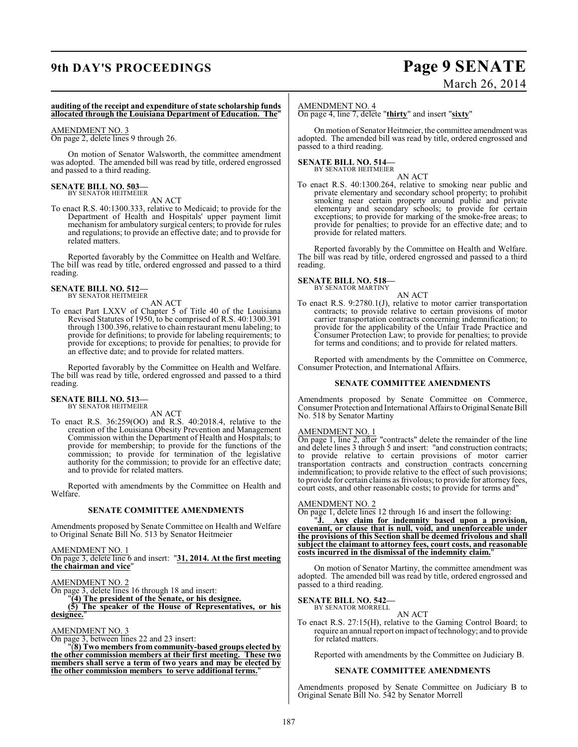## **9th DAY'S PROCEEDINGS Page 9 SENATE**

# March 26, 2014

#### **auditing of the receipt and expenditure of state scholarship funds allocated through the Louisiana Department of Education. The**"

#### AMENDMENT NO. 3

On page 2, delete lines 9 through 26.

On motion of Senator Walsworth, the committee amendment was adopted. The amended bill was read by title, ordered engrossed and passed to a third reading.

#### **SENATE BILL NO. 503—** BY SENATOR HEITMEIER

AN ACT

To enact R.S. 40:1300.333, relative to Medicaid; to provide for the Department of Health and Hospitals' upper payment limit mechanism for ambulatory surgical centers; to provide for rules and regulations; to provide an effective date; and to provide for related matters.

Reported favorably by the Committee on Health and Welfare. The bill was read by title, ordered engrossed and passed to a third reading.

#### **SENATE BILL NO. 512—** BY SENATOR HEITMEIER

AN ACT

To enact Part LXXV of Chapter 5 of Title 40 of the Louisiana Revised Statutes of 1950, to be comprised of R.S. 40:1300.391 through 1300.396, relative to chain restaurant menu labeling; to provide for definitions; to provide for labeling requirements; to provide for exceptions; to provide for penalties; to provide for an effective date; and to provide for related matters.

Reported favorably by the Committee on Health and Welfare. The bill was read by title, ordered engrossed and passed to a third reading.

## **SENATE BILL NO. 513—** BY SENATOR HEITMEIER

AN ACT

To enact R.S. 36:259(OO) and R.S. 40:2018.4, relative to the creation of the Louisiana Obesity Prevention and Management Commission within the Department of Health and Hospitals; to provide for membership; to provide for the functions of the commission; to provide for termination of the legislative authority for the commission; to provide for an effective date; and to provide for related matters.

Reported with amendments by the Committee on Health and Welfare.

#### **SENATE COMMITTEE AMENDMENTS**

Amendments proposed by Senate Committee on Health and Welfare to Original Senate Bill No. 513 by Senator Heitmeier

AMENDMENT NO. 1

On page 3, delete line 6 and insert: "**31, 2014. At the first meeting the chairman and vice**"

AMENDMENT NO. 2

On page 3, delete lines 16 through 18 and insert:

"**(4) The president of the Senate, or his designee.**

**(5) The speaker of the House of Representatives, or his designee.**"

#### AMENDMENT NO. 3

On page 3, between lines 22 and 23 insert:

"(**8) Two members from community-based groups elected by the other commission members at their first meeting. These two members shall serve a term of two years and may be elected by the other commission members to serve additional terms.**"

#### AMENDMENT NO. 4

On page 4, line 7, delete "**thirty**" and insert "**sixty**"

On motion of Senator Heitmeier, the committee amendment was adopted. The amended bill was read by title, ordered engrossed and passed to a third reading.

#### **SENATE BILL NO. 514—** BY SENATOR HEITMEIER

AN ACT

To enact R.S. 40:1300.264, relative to smoking near public and private elementary and secondary school property; to prohibit smoking near certain property around public and private elementary and secondary schools; to provide for certain exceptions; to provide for marking of the smoke-free areas; to provide for penalties; to provide for an effective date; and to provide for related matters.

Reported favorably by the Committee on Health and Welfare. The bill was read by title, ordered engrossed and passed to a third reading.

#### **SENATE BILL NO. 518—** BY SENATOR MARTINY

AN ACT

To enact R.S. 9:2780.1(J), relative to motor carrier transportation contracts; to provide relative to certain provisions of motor carrier transportation contracts concerning indemnification; to provide for the applicability of the Unfair Trade Practice and Consumer Protection Law; to provide for penalties; to provide for terms and conditions; and to provide for related matters.

Reported with amendments by the Committee on Commerce, Consumer Protection, and International Affairs.

#### **SENATE COMMITTEE AMENDMENTS**

Amendments proposed by Senate Committee on Commerce, Consumer Protection and International Affairs to Original Senate Bill No. 518 by Senator Martiny

#### AMENDMENT NO. 1

On page 1, line 2, after "contracts" delete the remainder of the line and delete lines 3 through 5 and insert: "and construction contracts; to provide relative to certain provisions of motor carrier transportation contracts and construction contracts concerning indemnification; to provide relative to the effect of such provisions; to provide for certain claims as frivolous; to provide for attorney fees, court costs, and other reasonable costs; to provide for terms and"

#### AMENDMENT NO. 2

On page 1, delete lines 12 through 16 and insert the following:

Any claim for indemnity based upon a provision, **covenant, or clause that is null, void, and unenforceable under the provisions of this Section shall be deemed frivolous and shall subject the claimant to attorney fees, court costs, and reasonable costs incurred in the dismissal of the indemnity claim.**"

On motion of Senator Martiny, the committee amendment was adopted. The amended bill was read by title, ordered engrossed and passed to a third reading.

#### **SENATE BILL NO. 542—** BY SENATOR MORRELL

AN ACT

To enact R.S. 27:15(H), relative to the Gaming Control Board; to require an annual report on impact of technology; and to provide for related matters.

Reported with amendments by the Committee on Judiciary B.

#### **SENATE COMMITTEE AMENDMENTS**

Amendments proposed by Senate Committee on Judiciary B to Original Senate Bill No. 542 by Senator Morrell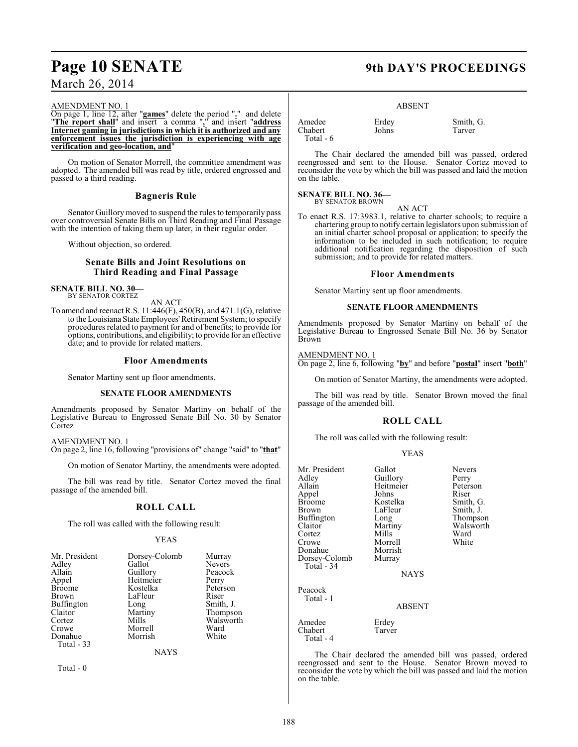## **Page 10 SENATE 9th DAY'S PROCEEDINGS**

### March 26, 2014

#### AMENDMENT NO. 1

On page 1, line 12, after "**games**" delete the period "**.**" and delete "**The report shall**" and insert a comma "**,**" and insert "**address Internet gaming in jurisdictions in which it is authorized and any enforcement issues the jurisdiction is experiencing with age verification and geo-location, and**"

On motion of Senator Morrell, the committee amendment was adopted. The amended bill was read by title, ordered engrossed and passed to a third reading.

### **Bagneris Rule**

Senator Guillory moved to suspend the rules to temporarily pass over controversial Senate Bills on Third Reading and Final Passage with the intention of taking them up later, in their regular order.

Without objection, so ordered.

#### **Senate Bills and Joint Resolutions on Third Reading and Final Passage**

#### **SENATE BILL NO. 30—** BY SENATOR CORTEZ

AN ACT

To amend and reenact R.S. 11:446(F), 450(B), and 471.1(G), relative to the Louisiana State Employees' Retirement System; to specify procedures related to payment for and of benefits; to provide for options, contributions, and eligibility; to provide for an effective date; and to provide for related matters.

#### **Floor Amendments**

Senator Martiny sent up floor amendments.

#### **SENATE FLOOR AMENDMENTS**

Amendments proposed by Senator Martiny on behalf of the Legislative Bureau to Engrossed Senate Bill No. 30 by Senator Cortez

AMENDMENT NO. 1

On page 2, line 16, following "provisions of" change "said" to "**that**"

On motion of Senator Martiny, the amendments were adopted.

The bill was read by title. Senator Cortez moved the final passage of the amended bill.

#### **ROLL CALL**

The roll was called with the following result:

#### YEAS

| Mr. President | Dorsey-Colomb | Murray        |
|---------------|---------------|---------------|
| Adley         | Gallot        | <b>Nevers</b> |
| Allain        | Guillory      | Peacock       |
| Appel         | Heitmeier     | Perry         |
| Broome        | Kostelka      | Peterson      |
| Brown         | LaFleur       | Riser         |
| Buffington    | Long          | Smith, J.     |
| Claitor       | Martiny       | Thompson      |
| Cortez        | Mills         | Walsworth     |
| Crowe         | Morrell       | Ward          |
| Donahue       | Morrish       | White         |
| Total - 33    |               |               |
|               | NAYS          |               |

Total - 0

#### ABSENT

| Amedee     | Erdey | Smith, G. |
|------------|-------|-----------|
| Chabert    | Johns | Tarver    |
| Total $-6$ |       |           |

The Chair declared the amended bill was passed, ordered reengrossed and sent to the House. Senator Cortez moved to reconsider the vote by which the bill was passed and laid the motion on the table.

#### **SENATE BILL NO. 36—** BY SENATOR BROWN

AN ACT

To enact R.S. 17:3983.1, relative to charter schools; to require a chartering group to notify certain legislators upon submission of an initial charter school proposal or application; to specify the information to be included in such notification; to require additional notification regarding the disposition of such submission; and to provide for related matters.

#### **Floor Amendments**

Senator Martiny sent up floor amendments.

#### **SENATE FLOOR AMENDMENTS**

Amendments proposed by Senator Martiny on behalf of the Legislative Bureau to Engrossed Senate Bill No. 36 by Senator Brown

#### AMENDMENT NO. 1

On page 2, line 6, following "**by**" and before "**postal**" insert "**both**"

On motion of Senator Martiny, the amendments were adopted.

The bill was read by title. Senator Brown moved the final passage of the amended bill.

#### **ROLL CALL**

The roll was called with the following result:

#### YEAS

| Mr. President<br>Adley<br>Allain<br>Appel<br><b>Broome</b><br>Brown<br>Buffington<br>Claitor<br>Cortez<br>Crowe<br>Donahue<br>Dorsey-Colomb<br>Total - 34 | Gallot<br>Guillory<br>Heitmeier<br>Johns<br>Kostelka<br>LaFleur<br>Long<br>Martiny<br>Mills<br>Morrell<br>Morrish<br>Murray<br><b>NAYS</b> | Nevers<br>Perry<br>Peterson<br>Riser<br>Smith, G.<br>Smith, J.<br>Thompson<br>Walsworth<br>Ward<br>White |
|-----------------------------------------------------------------------------------------------------------------------------------------------------------|--------------------------------------------------------------------------------------------------------------------------------------------|----------------------------------------------------------------------------------------------------------|
| Peacock<br>Total - 1                                                                                                                                      | ABSENT                                                                                                                                     |                                                                                                          |
| Amedee<br>Chabert<br>Total - 4                                                                                                                            | Erdey<br>Tarver                                                                                                                            |                                                                                                          |

The Chair declared the amended bill was passed, ordered reengrossed and sent to the House. Senator Brown moved to reconsider the vote by which the bill was passed and laid the motion on the table.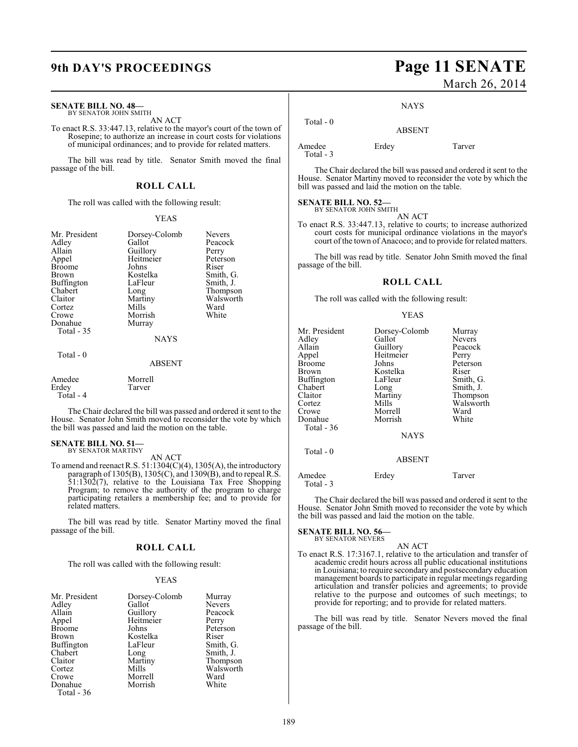#### **SENATE BILL NO. 48—**

BY SENATOR JOHN SMITH AN ACT

To enact R.S. 33:447.13, relative to the mayor's court of the town of Rosepine; to authorize an increase in court costs for violations of municipal ordinances; and to provide for related matters.

The bill was read by title. Senator Smith moved the final passage of the bill.

#### **ROLL CALL**

The roll was called with the following result:

#### YEAS

| Mr. President<br>Adley<br>Allain<br>Appel<br><b>Broome</b><br>Brown<br>Buffington<br>Chabert<br>Claitor<br>Cortez<br>Crowe<br>Donahue<br>Total - 35 | Dorsey-Colomb<br>Gallot<br>Guillory<br>Heitmeier<br>Johns<br>Kostelka<br>LaFleur<br>Long<br>Martiny<br>Mills<br>Morrish<br>Murray<br><b>NAYS</b> | <b>Nevers</b><br>Peacock<br>Perry<br>Peterson<br>Riser<br>Smith, G.<br>Smith, J.<br>Thompson<br>Walsworth<br>Ward<br>White |
|-----------------------------------------------------------------------------------------------------------------------------------------------------|--------------------------------------------------------------------------------------------------------------------------------------------------|----------------------------------------------------------------------------------------------------------------------------|
| Total - 0                                                                                                                                           | <b>ABSENT</b>                                                                                                                                    |                                                                                                                            |
| Amedee<br>Erdey                                                                                                                                     | Morrell<br>Tarver                                                                                                                                |                                                                                                                            |

The Chair declared the bill was passed and ordered it sent to the House. Senator John Smith moved to reconsider the vote by which the bill was passed and laid the motion on the table.

## **SENATE BILL NO. 51—** BY SENATOR MARTINY

Total - 4

AN ACT

To amend and reenact R.S.  $51:1304(C)(4)$ ,  $1305(A)$ , the introductory paragraph of 1305(B), 1305(C), and 1309(B), and to repeal R.S. 51:1302(7), relative to the Louisiana Tax Free Shopping Program; to remove the authority of the program to charge participating retailers a membership fee; and to provide for related matters.

The bill was read by title. Senator Martiny moved the final passage of the bill.

#### **ROLL CALL**

The roll was called with the following result:

#### YEAS

| Mr. President<br>Adley<br>Allain<br>Appel<br><b>Broome</b><br>Brown<br>Buffington<br>Chabert<br>Claitor<br>Cortez<br>Crowe | Dorsey-Colomb<br>Gallot<br>Guillory<br>Heitmeier<br>Johns<br>Kostelka<br>LaFleur<br>Long<br>Martiny<br>Mills<br>Morrell | Murray<br><b>Nevers</b><br>Peacock<br>Perry<br>Peterson<br>Riser<br>Smith, G.<br>Smith, J.<br>Thompson<br>Walsworth<br>Ward |
|----------------------------------------------------------------------------------------------------------------------------|-------------------------------------------------------------------------------------------------------------------------|-----------------------------------------------------------------------------------------------------------------------------|
|                                                                                                                            |                                                                                                                         |                                                                                                                             |
| Donahue<br>Total - 36                                                                                                      | Morrish                                                                                                                 | White                                                                                                                       |

## **9th DAY'S PROCEEDINGS Page 11 SENATE** March 26, 2014

#### NAYS

ABSENT

Amedee Erdey Tarver

Total - 0

Total - 3

The Chair declared the bill was passed and ordered it sent to the House. Senator Martiny moved to reconsider the vote by which the bill was passed and laid the motion on the table.

## **SENATE BILL NO. 52—**<br>BY SENATOR JOHN SMITH

AN ACT

To enact R.S. 33:447.13, relative to courts; to increase authorized court costs for municipal ordinance violations in the mayor's court of the town of Anacoco; and to provide for related matters.

The bill was read by title. Senator John Smith moved the final passage of the bill.

#### **ROLL CALL**

The roll was called with the following result:

#### YEAS

| Mr. President<br>Adley<br>Allain<br>Appel<br><b>Broome</b><br>Brown<br>Buffington<br>Chabert<br>Claitor<br>Cortez<br>Crowe<br>Donahue<br>Total - 36 | Dorsey-Colomb<br>Gallot<br>Guillory<br>Heitmeier<br>Johns<br>Kostelka<br>LaFleur<br>Long<br>Martiny<br>Mills<br>Morrell<br>Morrish<br><b>NAYS</b> | Murray<br><b>Nevers</b><br>Peacock<br>Perry<br>Peterson<br>Riser<br>Smith, G.<br>Smith, J.<br>Thompson<br>Walsworth<br>Ward<br>White |
|-----------------------------------------------------------------------------------------------------------------------------------------------------|---------------------------------------------------------------------------------------------------------------------------------------------------|--------------------------------------------------------------------------------------------------------------------------------------|
| Total - 0                                                                                                                                           | <b>ABSENT</b>                                                                                                                                     |                                                                                                                                      |
| Amedee                                                                                                                                              | Erdey                                                                                                                                             | Tarver                                                                                                                               |

Total - 3

The Chair declared the bill was passed and ordered it sent to the House. Senator John Smith moved to reconsider the vote by which the bill was passed and laid the motion on the table.

## **SENATE BILL NO. 56—** BY SENATOR NEVERS

AN ACT

To enact R.S. 17:3167.1, relative to the articulation and transfer of academic credit hours across all public educational institutions in Louisiana; to require secondary and postsecondary education management boards to participate in regular meetings regarding articulation and transfer policies and agreements; to provide relative to the purpose and outcomes of such meetings; to provide for reporting; and to provide for related matters.

The bill was read by title. Senator Nevers moved the final passage of the bill.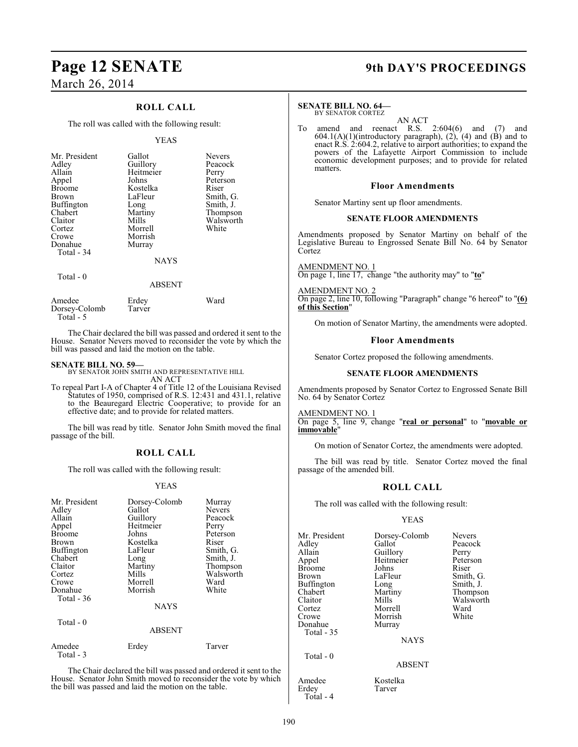### **ROLL CALL**

The roll was called with the following result:

#### YEAS

| Mr. President<br>Adley<br>Allain<br>Appel<br><b>Broome</b><br><b>Brown</b><br><b>Buffington</b><br>Chabert<br>Claitor<br>Cortez<br>Crowe<br>Donahue<br>Total - 34 | Gallot<br>Guillory<br>Heitmeier<br>Johns<br>Kostelka<br>LaFleur<br>Long<br>Martiny<br>Mills<br>Morrell<br>Morrish<br>Murray | <b>Nevers</b><br>Peacock<br>Perry<br>Peterson<br>Riser<br>Smith, G.<br>Smith, J.<br>Thompson<br>Walsworth<br>White |
|-------------------------------------------------------------------------------------------------------------------------------------------------------------------|-----------------------------------------------------------------------------------------------------------------------------|--------------------------------------------------------------------------------------------------------------------|
|                                                                                                                                                                   | <b>NAYS</b>                                                                                                                 |                                                                                                                    |
| Total $-0$                                                                                                                                                        | ABSENT                                                                                                                      |                                                                                                                    |

| Amedee        | Erdey  | Ward |
|---------------|--------|------|
| Dorsey-Colomb | Tarver |      |
| Total - 5     |        |      |

The Chair declared the bill was passed and ordered it sent to the House. Senator Nevers moved to reconsider the vote by which the bill was passed and laid the motion on the table.

**SENATE BILL NO. 59—** BY SENATOR JOHN SMITH AND REPRESENTATIVE HILL AN ACT

To repeal Part I-A of Chapter 4 of Title 12 of the Louisiana Revised Statutes of 1950, comprised of R.S. 12:431 and 431.1, relative to the Beauregard Electric Cooperative; to provide for an effective date; and to provide for related matters.

The bill was read by title. Senator John Smith moved the final passage of the bill.

#### **ROLL CALL**

The roll was called with the following result:

#### YEAS

| Mr. President<br>Adley<br>Allain<br>Appel<br><b>Broome</b><br>Brown<br>Buffington<br>Chabert<br>Claitor<br>Cortez<br>Crowe<br>Donahue<br>Total $-36$<br>Total - 0 | Dorsey-Colomb<br>Gallot<br>Guillory<br>Heitmeier<br>Johns<br>Kostelka<br>LaFleur<br>Long<br>Martiny<br>Mills<br>Morrell<br>Morrish<br><b>NAYS</b><br><b>ABSENT</b> | Murray<br>Nevers<br>Peacock<br>Perry<br>Peterson<br>Riser<br>Smith, G.<br>Smith, J.<br>Thompson<br>Walsworth<br>Ward<br>White |
|-------------------------------------------------------------------------------------------------------------------------------------------------------------------|--------------------------------------------------------------------------------------------------------------------------------------------------------------------|-------------------------------------------------------------------------------------------------------------------------------|
|                                                                                                                                                                   |                                                                                                                                                                    |                                                                                                                               |
| Amedee<br>Total - 3                                                                                                                                               | Erdey                                                                                                                                                              | Tarver                                                                                                                        |

The Chair declared the bill was passed and ordered it sent to the House. Senator John Smith moved to reconsider the vote by which the bill was passed and laid the motion on the table.

## **Page 12 SENATE 9th DAY'S PROCEEDINGS**

### **SENATE BILL NO. 64—**

BY SENATOR CORTEZ

AN ACT To amend and reenact R.S. 2:604(6) and (7) and 604.1(A)(1)(introductory paragraph), (2), (4) and (B) and to enact R.S. 2:604.2, relative to airport authorities; to expand the powers of the Lafayette Airport Commission to include economic development purposes; and to provide for related matters.

#### **Floor Amendments**

Senator Martiny sent up floor amendments.

#### **SENATE FLOOR AMENDMENTS**

Amendments proposed by Senator Martiny on behalf of the Legislative Bureau to Engrossed Senate Bill No. 64 by Senator **Cortez** 

AMENDMENT NO. 1 On page 1, line 17, change "the authority may" to "**to**"

AMENDMENT NO. 2

On page 2, line 10, following "Paragraph" change "6 hereof" to "**(6) of this Section**"

On motion of Senator Martiny, the amendments were adopted.

#### **Floor Amendments**

Senator Cortez proposed the following amendments.

#### **SENATE FLOOR AMENDMENTS**

Amendments proposed by Senator Cortez to Engrossed Senate Bill No. 64 by Senator Cortez

#### AMENDMENT NO. 1

On page 5, line 9, change "**real or personal**" to "**movable or immovable**"

On motion of Senator Cortez, the amendments were adopted.

The bill was read by title. Senator Cortez moved the final passage of the amended bill.

### **ROLL CALL**

The roll was called with the following result:

#### YEAS

| Mr. President<br>Adlev<br>Allain<br>Appel<br>Broome<br>Brown | Dorsey-Colomb<br>Gallot<br>Guillory<br>Heitmeier<br>Johns<br>LaFleur | <b>Nevers</b><br>Peacock<br>Perry<br>Peterson<br>Riser<br>Smith, G. |
|--------------------------------------------------------------|----------------------------------------------------------------------|---------------------------------------------------------------------|
| Buffington                                                   | Long                                                                 | Smith, J.                                                           |
| Chabert                                                      | Martiny                                                              | Thompson                                                            |
| Claitor                                                      | Mills                                                                | Walsworth                                                           |
| Cortez                                                       | Morrell                                                              | Ward                                                                |
| Crowe                                                        | Morrish                                                              | White                                                               |
| Donahue                                                      | Murray                                                               |                                                                     |
| Total - 35                                                   |                                                                      |                                                                     |
|                                                              | <b>NAYS</b>                                                          |                                                                     |
| Total - 0                                                    | <b>ABSENT</b>                                                        |                                                                     |

Amedee Kostelka<br>Erdev Tarver

Erdey Total - 4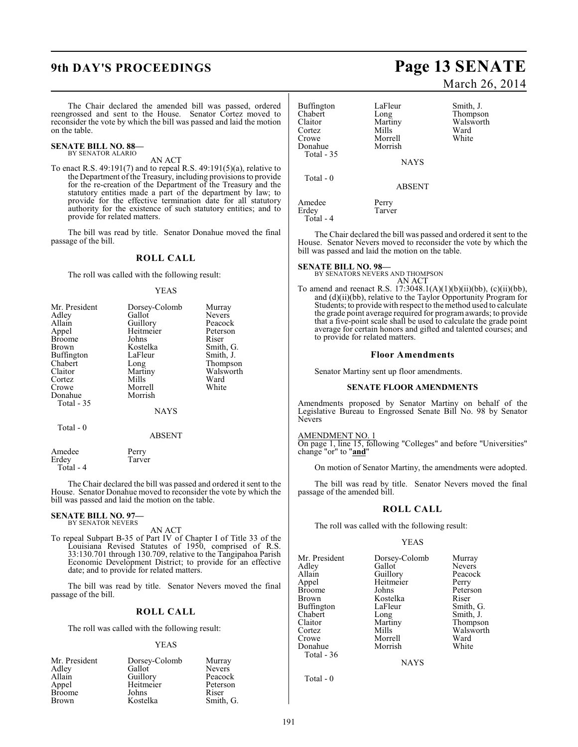The Chair declared the amended bill was passed, ordered reengrossed and sent to the House. Senator Cortez moved to reconsider the vote by which the bill was passed and laid the motion on the table.

#### **SENATE BILL NO. 88—** BY SENATOR ALARIO

### AN ACT

To enact R.S. 49:191(7) and to repeal R.S. 49:191(5)(a), relative to the Department of the Treasury, including provisions to provide for the re-creation of the Department of the Treasury and the statutory entities made a part of the department by law; to provide for the effective termination date for all statutory authority for the existence of such statutory entities; and to provide for related matters.

The bill was read by title. Senator Donahue moved the final passage of the bill.

#### **ROLL CALL**

The roll was called with the following result:

#### YEAS

| Mr. President | Dorsey-Colomb | Murray        |
|---------------|---------------|---------------|
| Adley         | Gallot        | <b>Nevers</b> |
| Allain        | Guillory      | Peacock       |
| Appel         | Heitmeier     | Peterson      |
| <b>Broome</b> | Johns         | Riser         |
| <b>Brown</b>  | Kostelka      | Smith, G.     |
| Buffington    | LaFleur       | Smith, J.     |
| Chabert       | Long          | Thompson      |
| Claitor       | Martiny       | Walsworth     |
| Cortez        | Mills         | Ward          |
| Crowe         | Morrell       | White         |
| Donahue       | Morrish       |               |
| Total $-35$   |               |               |
|               | <b>NAYS</b>   |               |
| Total - 0     |               |               |
|               | ABSENT        |               |

| Amedee    | Perry  |
|-----------|--------|
| Erdev     | Tarver |
| Total - 4 |        |

The Chair declared the bill was passed and ordered it sent to the House. Senator Donahue moved to reconsider the vote by which the bill was passed and laid the motion on the table.

#### **SENATE BILL NO. 97—** BY SENATOR NEVERS

AN ACT

To repeal Subpart B-35 of Part IV of Chapter I of Title 33 of the Louisiana Revised Statutes of 1950, comprised of R.S. 33:130.701 through 130.709, relative to the Tangipahoa Parish Economic Development District; to provide for an effective date; and to provide for related matters.

The bill was read by title. Senator Nevers moved the final passage of the bill.

#### **ROLL CALL**

The roll was called with the following result:

#### YEAS

| Mr. President | Dorsey-Colomb | Murray        |
|---------------|---------------|---------------|
| Adley         | Gallot        | <b>Nevers</b> |
| Allain        | Guillory      | Peacock       |
| Appel         | Heitmeier     | Peterson      |
| <b>Broome</b> | Johns         | Riser         |
| Brown         | Kostelka      | Smith, G.     |

## **9th DAY'S PROCEEDINGS Page 13 SENATE** March 26, 2014

| Buffington<br>Chabert<br>Claitor<br>Cortez<br>Crowe<br>Donahue<br>Total - 35 | LaFleur<br>Long<br>Martiny<br>Mills<br>Morrell<br>Morrish<br><b>NAYS</b> | Smith, J.<br>Thompson<br>Walsworth<br>Ward<br>White |
|------------------------------------------------------------------------------|--------------------------------------------------------------------------|-----------------------------------------------------|
| Total - 0                                                                    | <b>ABSENT</b>                                                            |                                                     |
| Amedee<br>Erdey<br>Total - 4                                                 | Perry<br>Tarver                                                          |                                                     |

The Chair declared the bill was passed and ordered it sent to the House. Senator Nevers moved to reconsider the vote by which the bill was passed and laid the motion on the table.

#### **SENATE BILL NO. 98—**

BY SENATORS NEVERS AND THOMPSON AN ACT

To amend and reenact R.S. 17:3048.1(A)(1)(b)(ii)(bb), (c)(ii)(bb), and (d)(ii)(bb), relative to the Taylor Opportunity Program for Students; to provide with respect to the method used to calculate the grade point average required for program awards; to provide that a five-point scale shall be used to calculate the grade point average for certain honors and gifted and talented courses; and to provide for related matters.

#### **Floor Amendments**

Senator Martiny sent up floor amendments.

#### **SENATE FLOOR AMENDMENTS**

Amendments proposed by Senator Martiny on behalf of the Legislative Bureau to Engrossed Senate Bill No. 98 by Senator Nevers

#### AMENDMENT NO. 1

On page 1, line 15, following "Colleges" and before "Universities" change "or" to "**and**"

On motion of Senator Martiny, the amendments were adopted.

The bill was read by title. Senator Nevers moved the final passage of the amended bill.

#### **ROLL CALL**

The roll was called with the following result:

#### YEAS

| Mr. President | Dorsey-Colomb | Murray        |
|---------------|---------------|---------------|
| Adley         | Gallot        | <b>Nevers</b> |
| Allain        | Guillory      | Peacock       |
| Appel         | Heitmeier     | Perry         |
| Broome        | Johns         | Peterson      |
| Brown         | Kostelka      | Riser         |
| Buffington    | LaFleur       | Smith, G.     |
| Chabert       | Long          | Smith, J.     |
| Claitor       | Martiny       | Thompson      |
| Cortez        | Mills         | Walsworth     |
| Crowe         | Morrell       | Ward          |
| Donahue       | Morrish       | White         |
| Total - 36    |               |               |

**NAYS** 

Total - 0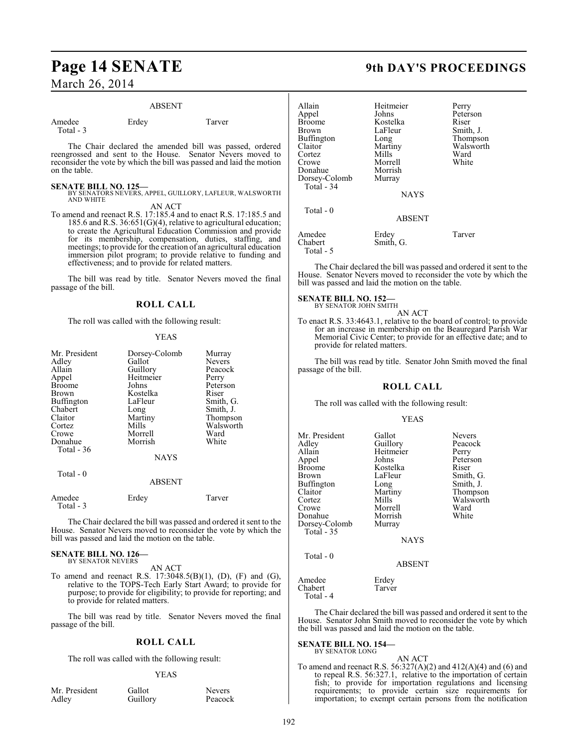### **Page 14 SENATE 9th DAY'S PROCEEDINGS** March 26, 2014

#### ABSENT

| Amedee    | Erdey | Tarver |
|-----------|-------|--------|
| Total - 3 |       |        |

The Chair declared the amended bill was passed, ordered reengrossed and sent to the House. Senator Nevers moved to reconsider the vote by which the bill was passed and laid the motion on the table.

#### **SENATE BILL NO. 125—**

- BY SENATORS NEVERS, APPEL, GUILLORY, LAFLEUR, WALSWORTH AND WHITE AN ACT
- To amend and reenact R.S. 17:185.4 and to enact R.S. 17:185.5 and 185.6 and R.S. 36:651(G)(4), relative to agricultural education; to create the Agricultural Education Commission and provide for its membership, compensation, duties, staffing, and meetings; to provide for the creation of an agricultural education immersion pilot program; to provide relative to funding and effectiveness; and to provide for related matters.

The bill was read by title. Senator Nevers moved the final passage of the bill.

#### **ROLL CALL**

The roll was called with the following result:

#### YEAS

| Mr. President<br>Adley<br>Allain<br>Appel<br>Broome<br>Brown<br>Buffington<br>Chabert<br>Claitor<br>Cortez<br>Crowe<br>Donahue<br>Total - 36<br>Total - 0 | Dorsey-Colomb<br>Gallot<br>Guillory<br>Heitmeier<br>Johns<br>Kostelka<br>LaFleur<br>Long<br>Martiny<br>Mills<br>Morrell<br>Morrish<br><b>NAYS</b> | Murray<br><b>Nevers</b><br>Peacock<br>Perry<br>Peterson<br>Riser<br>Smith, G.<br>Smith, J.<br>Thompson<br>Walsworth<br>Ward<br>White |
|-----------------------------------------------------------------------------------------------------------------------------------------------------------|---------------------------------------------------------------------------------------------------------------------------------------------------|--------------------------------------------------------------------------------------------------------------------------------------|
|                                                                                                                                                           | <b>ABSENT</b>                                                                                                                                     |                                                                                                                                      |
| Amedee<br>Total $-3$                                                                                                                                      | Erdey                                                                                                                                             | Tarver                                                                                                                               |

The Chair declared the bill was passed and ordered it sent to the House. Senator Nevers moved to reconsider the vote by which the bill was passed and laid the motion on the table.

## **SENATE BILL NO. 126—** BY SENATOR NEVERS

AN ACT

To amend and reenact R.S.  $17:3048.5(B)(1)$ , (D), (F) and (G), relative to the TOPS-Tech Early Start Award; to provide for purpose; to provide for eligibility; to provide for reporting; and to provide for related matters.

The bill was read by title. Senator Nevers moved the final passage of the bill.

#### **ROLL CALL**

The roll was called with the following result:

### YEAS

| Mr. President |  |
|---------------|--|
| Adley         |  |

Gallot Nevers<br>Guillory Peacock Guillory

| Allain<br>Appel<br>Broome<br>Brown<br>Buffington<br>Claitor<br>Cortez<br>Crowe<br>Donahue<br>Dorsey-Colomb<br>Total - 34 | Heitmeier<br>Johns<br>Kostelka<br>LaFleur<br>Long<br>Martiny<br>Mills<br>Morrell<br>Morrish<br>Murray<br><b>NAYS</b> | Perry<br>Peterson<br>Riser<br>Smith, J.<br>Thompson<br>Walsworth<br>Ward<br>White |
|--------------------------------------------------------------------------------------------------------------------------|----------------------------------------------------------------------------------------------------------------------|-----------------------------------------------------------------------------------|
| Total - 0                                                                                                                | <b>ABSENT</b>                                                                                                        |                                                                                   |
| Amedee<br>Chabert<br>Total - 5                                                                                           | Erdey<br>Smith, G.                                                                                                   | Tarver                                                                            |

The Chair declared the bill was passed and ordered it sent to the House. Senator Nevers moved to reconsider the vote by which the bill was passed and laid the motion on the table.

**SENATE BILL NO. 152—** BY SENATOR JOHN SMITH

AN ACT

To enact R.S. 33:4643.1, relative to the board of control; to provide for an increase in membership on the Beauregard Parish War Memorial Civic Center; to provide for an effective date; and to provide for related matters.

The bill was read by title. Senator John Smith moved the final passage of the bill.

#### **ROLL CALL**

The roll was called with the following result:

#### YEAS

| Mr. President<br>Adlev<br>Allain<br>Appel<br>Broome<br>Brown<br>Buffington<br>Claitor<br>Cortez<br>Crowe<br>Donahue<br>Dorsey-Colomb<br>Total - 35 | Gallot<br>Guillory<br>Heitmeier<br>Johns<br>Kostelka<br>LaFleur<br>Long<br>Martiny<br>Mills<br>Morrell<br>Morrish<br>Murray<br><b>NAYS</b> | <b>Nevers</b><br>Peacock<br>Perry<br>Peterson<br>Riser<br>Smith, G.<br>Smith, J.<br>Thompson<br>Walsworth<br>Ward<br>White |
|----------------------------------------------------------------------------------------------------------------------------------------------------|--------------------------------------------------------------------------------------------------------------------------------------------|----------------------------------------------------------------------------------------------------------------------------|
| Total - 0                                                                                                                                          | <b>ABSENT</b>                                                                                                                              |                                                                                                                            |
| Amedee                                                                                                                                             | Erdey                                                                                                                                      |                                                                                                                            |

Chabert Tarver Total - 4

The Chair declared the bill was passed and ordered it sent to the House. Senator John Smith moved to reconsider the vote by which the bill was passed and laid the motion on the table.

#### **SENATE BILL NO. 154—** BY SENATOR LONG

### AN ACT

To amend and reenact R.S.  $56:327(A)(2)$  and  $412(A)(4)$  and  $(6)$  and to repeal R.S. 56:327.1, relative to the importation of certain fish; to provide for importation regulations and licensing requirements; to provide certain size requirements for importation; to exempt certain persons from the notification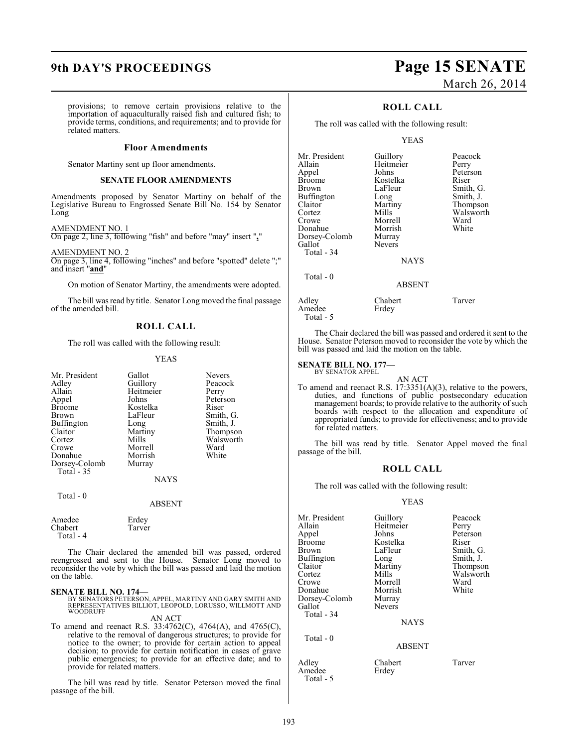provisions; to remove certain provisions relative to the importation of aquaculturally raised fish and cultured fish; to provide terms, conditions, and requirements; and to provide for related matters.

#### **Floor Amendments**

Senator Martiny sent up floor amendments.

### **SENATE FLOOR AMENDMENTS**

Amendments proposed by Senator Martiny on behalf of the Legislative Bureau to Engrossed Senate Bill No. 154 by Senator Long

#### AMENDMENT NO. 1

On page 2, line 3, following "fish" and before "may" insert "**,**"

AMENDMENT NO. 2

On page 3, line 4, following "inches" and before "spotted" delete ";" and insert "**and**"

On motion of Senator Martiny, the amendments were adopted.

The bill was read by title. Senator Long moved the final passage of the amended bill.

### **ROLL CALL**

The roll was called with the following result:

#### YEAS

Nevers Peacock<br>Perry

Peterson<br>Riser

Smith, G. Smith, J. Thompson Walsworth<br>Ward

White

| Mr. President | Gallot    | Neve:  |
|---------------|-----------|--------|
| Adley         | Guillory  | Peacc  |
| Allain        | Heitmeier | Perry  |
| Appel         | Johns     | Peters |
| <b>Broome</b> | Kostelka  | Riser  |
| <b>Brown</b>  | LaFleur   | Smith  |
| Buffington    | Long      | Smith  |
| Claitor       | Martiny   | Thom   |
| Cortez        | Mills     | Walsy  |
| Crowe         | Morrell   | Ward   |
| Donahue       | Morrish   | White  |
| Dorsey-Colomb | Murray    |        |
| Total - 35    |           |        |
|               | NAVC      |        |

NAYS

ABSENT

#### Total - 0

Amedee Erdey<br>Chabert Tarver Chabert Total - 4

The Chair declared the amended bill was passed, ordered reengrossed and sent to the House. Senator Long moved to reconsider the vote by which the bill was passed and laid the motion on the table.

#### **SENATE BILL NO. 174—**

BY SENATORS PETERSON, APPEL, MARTINY AND GARY SMITH AND REPRESENTATIVES BILLIOT, LEOPOLD, LORUSSO, WILLMOTT AND WOODRUFF

AN ACT

To amend and reenact R.S. 33:4762(C), 4764(A), and 4765(C), relative to the removal of dangerous structures; to provide for notice to the owner; to provide for certain action to appeal decision; to provide for certain notification in cases of grave public emergencies; to provide for an effective date; and to provide for related matters.

The bill was read by title. Senator Peterson moved the final passage of the bill.

## **9th DAY'S PROCEEDINGS Page 15 SENATE** March 26, 2014

### **ROLL CALL**

The roll was called with the following result:

#### YEAS

| Mr. President     | Guillory      | Peacock   |
|-------------------|---------------|-----------|
| Allain            | Heitmeier     | Perry     |
| Appel             | Johns         | Peterson  |
| <b>Broome</b>     | Kostelka      | Riser     |
| <b>Brown</b>      | LaFleur       | Smith, G. |
| <b>Buffington</b> | Long          | Smith, J. |
| Claitor           | Martiny       | Thompson  |
| Cortez            | Mills         | Walsworth |
| Crowe             | Morrell       | Ward      |
| Donahue           | Morrish       | White     |
| Dorsey-Colomb     | Murray        |           |
| Gallot            | <b>Nevers</b> |           |
| Total - 34        |               |           |
|                   | <b>NAYS</b>   |           |
| Total $-0$        |               |           |
|                   | <b>ABSENT</b> |           |
|                   |               |           |

Adley Chabert Tarver<br>Amedee Erdey Tarver Amedee Total - 5

The Chair declared the bill was passed and ordered it sent to the House. Senator Peterson moved to reconsider the vote by which the bill was passed and laid the motion on the table.

#### **SENATE BILL NO. 177—** BY SENATOR APPEL

AN ACT To amend and reenact R.S. 17:3351(A)(3), relative to the powers, duties, and functions of public postsecondary education management boards; to provide relative to the authority of such boards with respect to the allocation and expenditure of appropriated funds; to provide for effectiveness; and to provide for related matters.

The bill was read by title. Senator Appel moved the final passage of the bill.

#### **ROLL CALL**

The roll was called with the following result:

#### YEAS

| Mr. President<br>Allain<br>Appel<br><b>Broome</b><br>Brown<br>Buffington<br>Claitor<br>Cortez<br>Crowe<br>Donahue<br>Dorsey-Colomb<br>Gallot<br>Total - 34<br>Total $-0$ | Guillory<br>Heitmeier<br>Johns<br>Kostelka<br>LaFleur<br>Long<br>Martiny<br>Mills<br>Morrell<br>Morrish<br>Murray<br>Nevers<br><b>NAYS</b><br><b>ABSENT</b> | Peacock<br>Perry<br>Peterson<br>Riser<br>Smith, G.<br>Smith, J.<br>Thompson<br>Walsworth<br>Ward<br>White |
|--------------------------------------------------------------------------------------------------------------------------------------------------------------------------|-------------------------------------------------------------------------------------------------------------------------------------------------------------|-----------------------------------------------------------------------------------------------------------|
|                                                                                                                                                                          |                                                                                                                                                             |                                                                                                           |
| Adley<br>Amedee                                                                                                                                                          | Chabert<br>Erdev                                                                                                                                            | Tarver                                                                                                    |

Total - 5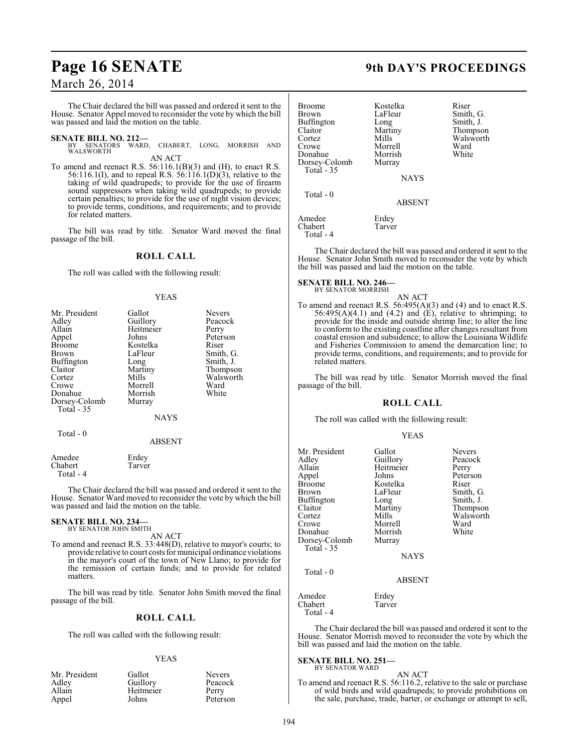## **Page 16 SENATE 9th DAY'S PROCEEDINGS**

### March 26, 2014

The Chair declared the bill was passed and ordered it sent to the House. Senator Appel moved to reconsider the vote by which the bill was passed and laid the motion on the table.

**SENATE BILL NO. 212—**<br>BY SENATORS WARD, CHABERT, LONG, MORRISH AND WALSWORTH

AN ACT

To amend and reenact R.S. 56:116.1(B)(3) and (H), to enact R.S. 56:116.1(I), and to repeal R.S. 56:116.1(D)(3), relative to the taking of wild quadrupeds; to provide for the use of firearm sound suppressors when taking wild quadrupeds; to provide certain penalties; to provide for the use of night vision devices; to provide terms, conditions, and requirements; and to provide for related matters.

The bill was read by title. Senator Ward moved the final passage of the bill.

### **ROLL CALL**

The roll was called with the following result:

#### YEAS

| Mr. President | Gallot      | <b>Nevers</b> |
|---------------|-------------|---------------|
| Adley         | Guillory    | Peacock       |
| Allain        | Heitmeier   | Perry         |
| Appel         | Johns       | Peterson      |
| <b>Broome</b> | Kostelka    | Riser         |
| <b>Brown</b>  | LaFleur     | Smith, G.     |
| Buffington    | Long        | Smith, J.     |
| Claitor       | Martiny     | Thompson      |
| Cortez        | Mills       | Walsworth     |
| Crowe         | Morrell     | Ward          |
| Donahue       | Morrish     | White         |
| Dorsey-Colomb | Murray      |               |
| Total - 35    |             |               |
|               | <b>NAYS</b> |               |
|               |             |               |

#### ABSENT

Tarver

Amedee Erdey<br>Chabert Tarve Total - 4

Total - 0

The Chair declared the bill was passed and ordered it sent to the House. Senator Ward moved to reconsider the vote by which the bill was passed and laid the motion on the table.

### **SENATE BILL NO. 234—** BY SENATOR JOHN SMITH

AN ACT

To amend and reenact R.S. 33:448(D), relative to mayor's courts; to provide relative to court costs for municipal ordinance violations in the mayor's court of the town of New Llano; to provide for the remission of certain funds; and to provide for related matters.

The bill was read by title. Senator John Smith moved the final passage of the bill.

#### **ROLL CALL**

The roll was called with the following result:

#### YEAS

| Mr. President | Gallot    | <b>Nevers</b> |
|---------------|-----------|---------------|
| Adley         | Guillory  | Peacock       |
| Allain        | Heitmeier | Perry         |
| Appel         | Johns     | Peterson      |

| <b>Broome</b><br><b>Brown</b><br><b>Buffington</b><br>Claitor<br>Cortez<br>Crowe | Kostelka<br>LaFleur<br>Long<br>Martiny<br>Mills<br>Morrell | Riser<br>Smith, G.<br>Smith, J.<br>Thompson<br>Walsworth<br>Ward |
|----------------------------------------------------------------------------------|------------------------------------------------------------|------------------------------------------------------------------|
| Donahue<br>Dorsey-Colomb<br>Total - 35                                           | Morrish<br>Murray<br><b>NAYS</b>                           | White                                                            |
| $Total - 0$                                                                      | <b>ABSENT</b>                                              |                                                                  |
| Amedee<br>Chabert<br>Total - 4                                                   | Erdey<br>Tarver                                            |                                                                  |

The Chair declared the bill was passed and ordered it sent to the House. Senator John Smith moved to reconsider the vote by which the bill was passed and laid the motion on the table.

#### **SENATE BILL NO. 246—** BY SENATOR MORRISH

AN ACT To amend and reenact R.S. 56:495(A)(3) and (4) and to enact R.S.  $56:495(A)(4.1)$  and  $(4.2)$  and  $(E)$ , relative to shrimping; to

provide for the inside and outside shrimp line; to alter the line to conform to the existing coastline after changes resultant from coastal erosion and subsidence; to allow the Louisiana Wildlife and Fisheries Commission to amend the demarcation line; to provide terms, conditions, and requirements; and to provide for related matters.

The bill was read by title. Senator Morrish moved the final passage of the bill.

#### **ROLL CALL**

The roll was called with the following result:

#### YEAS

| Mr. President<br>Adley<br>Allain<br>Appel<br>Broome<br>Brown<br>Buffington<br>Claitor<br>Cortez<br>Crowe<br>Donahue<br>Dorsey-Colomb<br>Total - 35 | Gallot<br>Guillory<br>Heitmeier<br>Johns<br>Kostelka<br>LaFleur<br>Long<br>Martiny<br>Mills<br>Morrell<br>Morrish<br>Murray<br><b>NAYS</b> | <b>Nevers</b><br>Peacock<br>Perry<br>Peterson<br>Riser<br>Smith, G.<br>Smith, J.<br>Thompson<br>Walsworth<br>Ward<br>White |
|----------------------------------------------------------------------------------------------------------------------------------------------------|--------------------------------------------------------------------------------------------------------------------------------------------|----------------------------------------------------------------------------------------------------------------------------|
| Total - 0                                                                                                                                          | <b>ABSENT</b>                                                                                                                              |                                                                                                                            |
| Amedee<br>Chabert<br>Total - 4                                                                                                                     | Erdey<br>Tarver                                                                                                                            |                                                                                                                            |

The Chair declared the bill was passed and ordered it sent to the House. Senator Morrish moved to reconsider the vote by which the bill was passed and laid the motion on the table.

#### **SENATE BILL NO. 251—** BY SENATOR WARD

AN ACT To amend and reenact R.S. 56:116.2, relative to the sale or purchase of wild birds and wild quadrupeds; to provide prohibitions on the sale, purchase, trade, barter, or exchange or attempt to sell,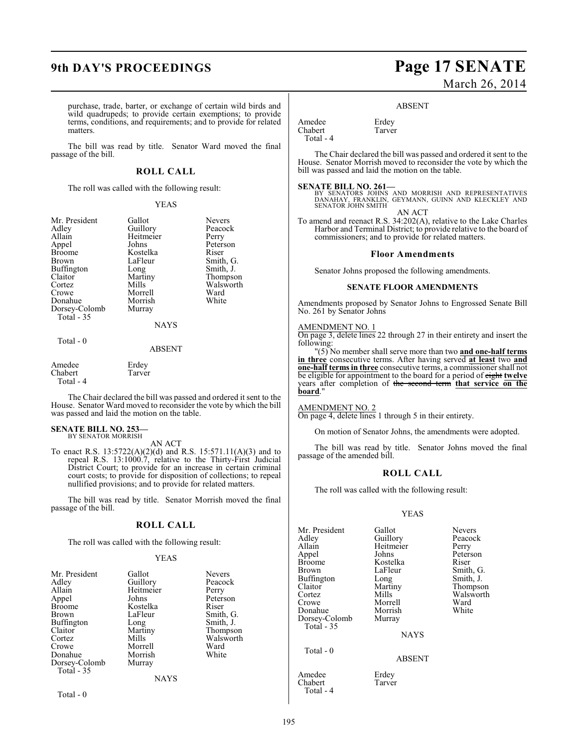#### purchase, trade, barter, or exchange of certain wild birds and wild quadrupeds; to provide certain exemptions; to provide terms, conditions, and requirements; and to provide for related matters.

The bill was read by title. Senator Ward moved the final passage of the bill.

#### **ROLL CALL**

The roll was called with the following result:

#### YEAS

| Mr. President | Gallot      | <b>Nevers</b> |
|---------------|-------------|---------------|
| Adley         | Guillory    | Peacock       |
| Allain        | Heitmeier   | Perry         |
| Appel         | Johns       | Peterson      |
| <b>Broome</b> | Kostelka    | Riser         |
| <b>Brown</b>  | LaFleur     | Smith, G.     |
| Buffington    | Long        | Smith, J.     |
| Claitor       | Martiny     | Thompson      |
| Cortez        | Mills       | Walsworth     |
| Crowe         | Morrell     | Ward          |
| Donahue       | Morrish     | White         |
| Dorsey-Colomb | Murray      |               |
| Total $-35$   |             |               |
|               | <b>NAYS</b> |               |
| Total - 0     |             |               |
|               | ABSENT      |               |

Amedee Erdey<br>Chabert Tarver Chabert Total - 4

The Chair declared the bill was passed and ordered it sent to the House. Senator Ward moved to reconsider the vote by which the bill was passed and laid the motion on the table.

### **SENATE BILL NO. 253—** BY SENATOR MORRISH

AN ACT

To enact R.S. 13:5722(A)(2)(d) and R.S. 15:571.11(A)(3) and to repeal R.S. 13:1000.7, relative to the Thirty-First Judicial District Court; to provide for an increase in certain criminal court costs; to provide for disposition of collections; to repeal nullified provisions; and to provide for related matters.

The bill was read by title. Senator Morrish moved the final passage of the bill.

### **ROLL CALL**

The roll was called with the following result:

#### YEAS

| Mr. President | Gallot      | <b>Nevers</b> |
|---------------|-------------|---------------|
| Adley         | Guillory    | Peacock       |
| Allain        | Heitmeier   | Perry         |
| Appel         | Johns       | Peterson      |
| <b>Broome</b> | Kostelka    | Riser         |
| Brown         | LaFleur     | Smith, G.     |
| Buffington    | Long        | Smith, J.     |
| Claitor       | Martiny     | Thompson      |
| Cortez        | Mills       | Walsworth     |
| Crowe         | Morrell     | Ward          |
| Donahue       | Morrish     | White         |
| Dorsey-Colomb | Murray      |               |
| Total - 35    |             |               |
|               | <b>NAYS</b> |               |
|               |             |               |

Total - 0

### **9th DAY'S PROCEEDINGS Page 17 SENATE** March 26, 2014

#### ABSENT

Amedee Erdey<br>Chabert Tarver Chabert Total - 4

The Chair declared the bill was passed and ordered it sent to the House. Senator Morrish moved to reconsider the vote by which the bill was passed and laid the motion on the table.

#### **SENATE BILL NO. 261—**

BY SENATORS JOHNS AND MORRISH AND REPRESENTATIVES<br>DANAHAY, FRANKLIN, GEYMANN, GUINN AND KLECKLEY AND<br>SENATOR JOHN SMITH AN ACT

To amend and reenact R.S. 34:202(A), relative to the Lake Charles Harbor and Terminal District; to provide relative to the board of commissioners; and to provide for related matters.

#### **Floor Amendments**

Senator Johns proposed the following amendments.

#### **SENATE FLOOR AMENDMENTS**

Amendments proposed by Senator Johns to Engrossed Senate Bill No. 261 by Senator Johns

#### AMENDMENT NO. 1

On page 3, delete lines 22 through 27 in their entirety and insert the following:

"(5) No member shall serve more than two **and one-half terms in three** consecutive terms. After having served **at least** two **and one-half terms in three** consecutive terms, a commissioner shall not be eligible for appointment to the board for a period of eight **twelve** years after completion of the second term **that service on the board**."

#### AMENDMENT NO. 2

On page 4, delete lines 1 through 5 in their entirety.

On motion of Senator Johns, the amendments were adopted.

The bill was read by title. Senator Johns moved the final passage of the amended bill.

#### **ROLL CALL**

The roll was called with the following result:

#### YEAS

| Mr. President<br>Adley<br>Allain<br>Appel                                          | Gallot<br>Guillory<br>Heitmeier<br>Johns                 | <b>Nevers</b><br>Peacock<br>Perry<br>Peterson       |
|------------------------------------------------------------------------------------|----------------------------------------------------------|-----------------------------------------------------|
| <b>Broome</b><br><b>Brown</b>                                                      | Kostelka<br>LaFleur                                      | Riser<br>Smith, G.                                  |
| Buffington<br>Claitor<br>Cortez<br>Crowe<br>Donahue<br>Dorsey-Colomb<br>Total - 35 | Long<br>Martiny<br>Mills<br>Morrell<br>Morrish<br>Murray | Smith, J.<br>Thompson<br>Walsworth<br>Ward<br>White |
|                                                                                    | <b>NAYS</b>                                              |                                                     |
| Total - 0                                                                          |                                                          |                                                     |

#### ABSENT

Amedee Erdey<br>Chabert Tarver

Chabert Total - 4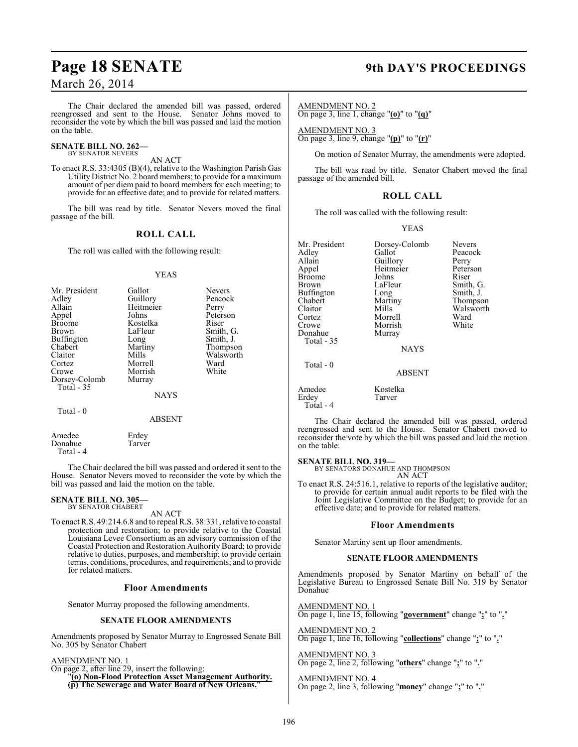The Chair declared the amended bill was passed, ordered reengrossed and sent to the House. Senator Johns moved to reconsider the vote by which the bill was passed and laid the motion on the table.

#### **SENATE BILL NO. 262—** BY SENATOR NEVERS

AN ACT

To enact R.S. 33:4305 (B)(4), relative to the Washington Parish Gas Utility District No. 2 board members; to provide for a maximum amount of per diem paid to board members for each meeting; to provide for an effective date; and to provide for related matters.

The bill was read by title. Senator Nevers moved the final passage of the bill.

### **ROLL CALL**

The roll was called with the following result:

#### YEAS

| Mr. President<br>Adley<br>Allain<br>Appel<br><b>Broome</b><br><b>Brown</b><br>Buffington<br>Chabert<br>Claitor | Gallot<br>Guillory<br>Heitmeier<br>Johns<br>Kostelka<br>LaFleur<br>Long<br>Martiny<br>Mills | <b>Nevers</b><br>Peacock<br>Perry<br>Peterson<br>Riser<br>Smith, G.<br>Smith, J.<br>Thompson<br>Walsworth |
|----------------------------------------------------------------------------------------------------------------|---------------------------------------------------------------------------------------------|-----------------------------------------------------------------------------------------------------------|
|                                                                                                                |                                                                                             |                                                                                                           |
|                                                                                                                |                                                                                             |                                                                                                           |
|                                                                                                                |                                                                                             |                                                                                                           |
|                                                                                                                |                                                                                             |                                                                                                           |
| Cortez                                                                                                         | Morrell                                                                                     | Ward                                                                                                      |
| Crowe                                                                                                          | Morrish                                                                                     | White                                                                                                     |
| Dorsey-Colomb                                                                                                  | Murray                                                                                      |                                                                                                           |
| Total $-35$                                                                                                    |                                                                                             |                                                                                                           |
|                                                                                                                | <b>NAYS</b>                                                                                 |                                                                                                           |

Total - 0

Amedee Erdey<br>Donahue Tarver Donahue Total - 4

The Chair declared the bill was passed and ordered it sent to the House. Senator Nevers moved to reconsider the vote by which the bill was passed and laid the motion on the table.

ABSENT

#### **SENATE BILL NO. 305—** BY SENATOR CHABERT

AN ACT

To enact R.S. 49:214.6.8 and to repeal R.S. 38:331, relative to coastal protection and restoration; to provide relative to the Coastal Louisiana Levee Consortium as an advisory commission of the Coastal Protection and Restoration AuthorityBoard; to provide relative to duties, purposes, and membership; to provide certain terms, conditions, procedures, and requirements; and to provide for related matters.

#### **Floor Amendments**

Senator Murray proposed the following amendments.

#### **SENATE FLOOR AMENDMENTS**

Amendments proposed by Senator Murray to Engrossed Senate Bill No. 305 by Senator Chabert

AMENDMENT NO. 1

On page 2, after line 29, insert the following:

"**(o) Non-Flood Protection Asset Management Authority. (p) The Sewerage and Water Board of New Orleans.**"

## **Page 18 SENATE 9th DAY'S PROCEEDINGS**

AMENDMENT NO. 2 On page 3, line 1, change "**(o)**" to "**(q)**"

AMENDMENT NO. 3 On page 3, line 9, change "**(p)**" to "**(r)**"

On motion of Senator Murray, the amendments were adopted.

The bill was read by title. Senator Chabert moved the final passage of the amended bill.

### **ROLL CALL**

The roll was called with the following result:

#### YEAS

Mr. President Dorsey-Colomb Nevers<br>Adley Gallot Peacock Adley Gallot Peacock Allain Guillory Perry<br>
Appel Heitmeier Peterson Heitmeier Peters<br>Johns Riser Broome Johns<br>Brown LaFleur LaFleur Smith, G.<br>Long Smith, J. Buffington Long<br>Chabert Martiny Chabert Martiny Thompson Claitor Mills Walsworth<br>Cortez Morrell Ward Cortez Morrell Ward Morrish<br>Murray Donahue Total - 35 **NAYS**  Total - 0 ABSENT Amedee Kostelka<br>Erdey Tarver Tarver Total - 4

The Chair declared the amended bill was passed, ordered reengrossed and sent to the House. Senator Chabert moved to reconsider the vote by which the bill was passed and laid the motion on the table.

#### **SENATE BILL NO. 319—**

BY SENATORS DONAHUE AND THOMPSON AN ACT

To enact R.S. 24:516.1, relative to reports of the legislative auditor; to provide for certain annual audit reports to be filed with the Joint Legislative Committee on the Budget; to provide for an effective date; and to provide for related matters.

#### **Floor Amendments**

Senator Martiny sent up floor amendments.

#### **SENATE FLOOR AMENDMENTS**

Amendments proposed by Senator Martiny on behalf of the Legislative Bureau to Engrossed Senate Bill No. 319 by Senator Donahue

AMENDMENT NO. 1 On page 1, line 15, following "**government**" change "**;**" to "**.**"

AMENDMENT NO. 2 On page 1, line 16, following "**collections**" change "**;**" to "**.**"

AMENDMENT NO. 3 On page 2, line 2, following "**others**" change "**;**" to "**.**"

AMENDMENT NO. 4 On page 2, line 3, following "**money**" change "**;**" to "**.**"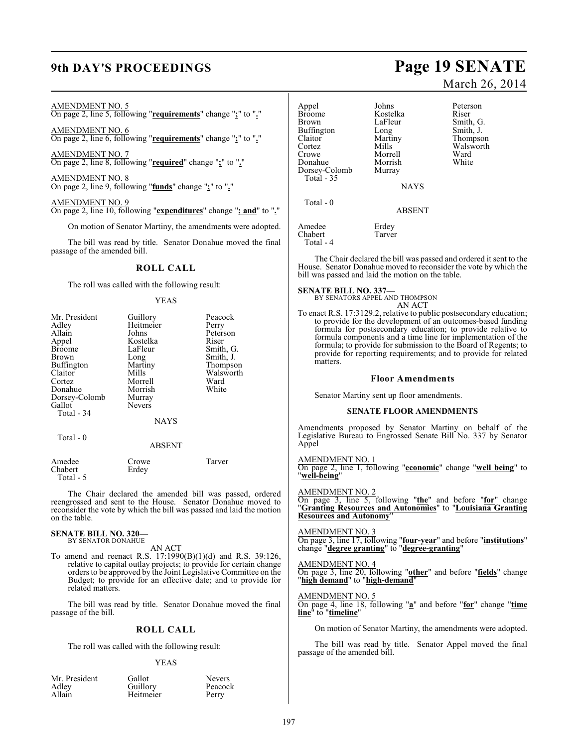#### AMENDMENT NO. 5

On page 2, line 5, following "**requirements**" change "**;**" to "**.**"

AMENDMENT NO. 6 On page 2, line 6, following "**requirements**" change "**;**" to "**.**"

AMENDMENT NO. 7 On page 2, line 8, following "**required**" change "**;**" to "**.**"

AMENDMENT NO. 8 On page 2, line 9, following "**funds**" change "**;**" to "**.**"

AMENDMENT NO. 9 On page 2, line 10, following "**expenditures**" change "**; and**" to "**.**"

On motion of Senator Martiny, the amendments were adopted.

The bill was read by title. Senator Donahue moved the final passage of the amended bill.

#### **ROLL CALL**

The roll was called with the following result:

#### YEAS

| Mr. President | Guillory      | Peacock   |
|---------------|---------------|-----------|
| Adley         | Heitmeier     | Perry     |
| Allain        | Johns         | Peterson  |
| Appel         | Kostelka      | Riser     |
| <b>Broome</b> | LaFleur       | Smith, G. |
| <b>Brown</b>  | Long          | Smith, J. |
| Buffington    | Martiny       | Thompson  |
| Claitor       | Mills         | Walsworth |
| Cortez        | Morrell       | Ward      |
| Donahue       | Morrish       | White     |
| Dorsey-Colomb | Murray        |           |
| Gallot        | <b>Nevers</b> |           |
| Total - 34    |               |           |
|               | <b>NAYS</b>   |           |
| Total $-0$    |               |           |
|               | <b>ABSENT</b> |           |
| Amedee        | Crowe         | Tarver    |
| Chabert       | Erdev         |           |

 Total - 5 The Chair declared the amended bill was passed, ordered reengrossed and sent to the House. Senator Donahue moved to reconsider the vote by which the bill was passed and laid the motion

## **SENATE BILL NO. 320—** BY SENATOR DONAHUE

on the table.

AN ACT

To amend and reenact R.S. 17:1990(B)(1)(d) and R.S. 39:126, relative to capital outlay projects; to provide for certain change orders to be approved by the Joint Legislative Committee on the Budget; to provide for an effective date; and to provide for related matters.

The bill was read by title. Senator Donahue moved the final passage of the bill.

### **ROLL CALL**

The roll was called with the following result:

#### YEAS

| Mr. President   | Gallot    | <b>Nevers</b> |
|-----------------|-----------|---------------|
| Adley<br>Allain | Guillory  | Peacock       |
|                 | Heitmeier | Perry         |

## **9th DAY'S PROCEEDINGS Page 19 SENATE** March 26, 2014

Appel Johns Peterson<br>Broome Kostelka Riser Broome Kostelka<br>Brown LaFleur LaFleur Smith, G.<br>Long Smith, J. Buffington Long<br>Claitor Martiny Claitor Martiny Thompson Cortez Mills Walsworth<br>Crowe Morrell Ward Morrell Ward<br>
Morrish White Donahue Morrish<br>Dorsey-Colomb Murray Dorsey-Colomb NAYS

Amedee Erdey<br>Chabert Tarver Chabert Total - 4

Total - 35

Total - 0

The Chair declared the bill was passed and ordered it sent to the House. Senator Donahue moved to reconsider the vote by which the bill was passed and laid the motion on the table.

ABSENT

#### **SENATE BILL NO. 337—**

BY SENATORS APPEL AND THOMPSON AN ACT

To enact R.S. 17:3129.2, relative to public postsecondary education; to provide for the development of an outcomes-based funding formula for postsecondary education; to provide relative to formula components and a time line for implementation of the formula; to provide for submission to the Board of Regents; to provide for reporting requirements; and to provide for related matters.

#### **Floor Amendments**

Senator Martiny sent up floor amendments.

#### **SENATE FLOOR AMENDMENTS**

Amendments proposed by Senator Martiny on behalf of the Legislative Bureau to Engrossed Senate Bill No. 337 by Senator Appel

AMENDMENT NO. 1 On page 2, line 1, following "**economic**" change "**well being**" to "**well-being**"

AMENDMENT NO. 2 On page 3, line 5, following "**the**" and before "**for**" change "**Granting Resources and Autonomies**" to "**Louisiana Granting Resources and Autonomy**"

#### AMENDMENT NO. 3

On page 3, line 17, following "**four-year**" and before "**institutions**" change "**degree granting**" to "**degree-granting**"

#### AMENDMENT NO. 4

On page 3, line 20, following "**other**" and before "**fields**" change "**high demand**" to "**high-demand**"

#### AMENDMENT NO. 5

On page 4, line 18, following "**a**" and before "**for**" change "**time line**" to "**timeline**"

On motion of Senator Martiny, the amendments were adopted.

The bill was read by title. Senator Appel moved the final passage of the amended bill.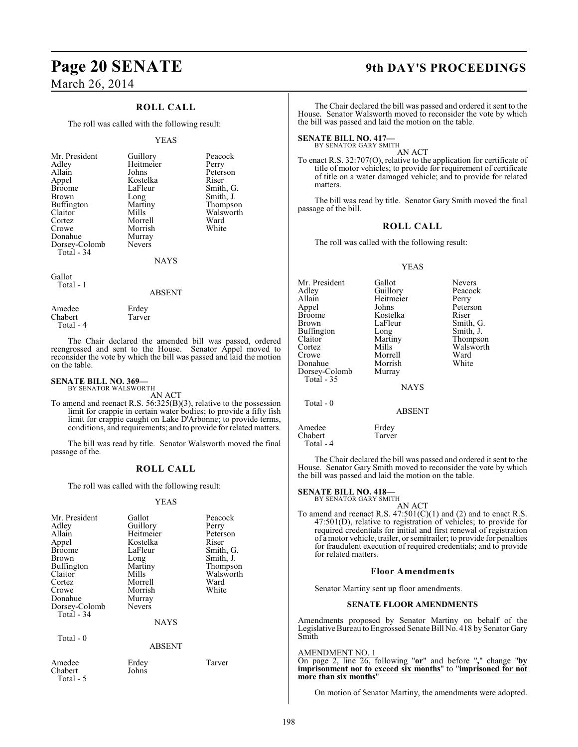### **ROLL CALL**

The roll was called with the following result:

#### YEAS

| Mr. President<br>Adley<br>Allain<br>Appel<br><b>Broome</b><br><b>Brown</b> | Guillory<br>Heitmeier<br>Johns<br>Kostelka<br>LaFleur<br>Long | Peacock<br>Perry<br>Peterson<br>Riser<br>Smith, G.<br>Smith, J. |
|----------------------------------------------------------------------------|---------------------------------------------------------------|-----------------------------------------------------------------|
|                                                                            |                                                               |                                                                 |
| <b>Buffington</b>                                                          | Martiny                                                       | Thompson                                                        |
| Claitor                                                                    | Mills                                                         | Walsworth                                                       |
| Cortez                                                                     | Morrell                                                       | Ward                                                            |
| Crowe                                                                      | Morrish                                                       | White                                                           |
| Donahue                                                                    | Murray                                                        |                                                                 |
| Dorsey-Colomb                                                              | <b>Nevers</b>                                                 |                                                                 |
| Total - 34                                                                 |                                                               |                                                                 |
|                                                                            | <b>NAYS</b>                                                   |                                                                 |

Gallot Total - 1

#### ABSENT

| Amedee    | Erdey  |
|-----------|--------|
| Chabert   | Tarver |
| Total - 4 |        |

The Chair declared the amended bill was passed, ordered reengrossed and sent to the House. Senator Appel moved to reconsider the vote by which the bill was passed and laid the motion on the table.

#### **SENATE BILL NO. 369—** BY SENATOR WALSWORTH

AN ACT

To amend and reenact R.S. 56:325(B)(3), relative to the possession limit for crappie in certain water bodies; to provide a fifty fish limit for crappie caught on Lake D'Arbonne; to provide terms, conditions, and requirements; and to provide for related matters.

The bill was read by title. Senator Walsworth moved the final passage of the.

### **ROLL CALL**

The roll was called with the following result:

#### YEAS

| Mr. President<br>Adley<br>Allain<br>Appel<br><b>Broome</b><br>Brown<br><b>Buffington</b><br>Claitor<br>Cortez<br>Crowe<br>Donahue<br>Dorsey-Colomb<br>Total $-34$<br>$Total - 0$ | Gallot<br>Guillory<br>Heitmeier<br>Kostelka<br>LaFleur<br>Long<br>Martiny<br>Mills<br>Morrell<br>Morrish<br>Murray<br><b>Nevers</b><br><b>NAYS</b><br>ABSENT | Peacock<br>Perry<br>Peterson<br>Riser<br>Smith, G.<br>Smith, J.<br>Thompson<br>Walsworth<br>Ward<br>White |
|----------------------------------------------------------------------------------------------------------------------------------------------------------------------------------|--------------------------------------------------------------------------------------------------------------------------------------------------------------|-----------------------------------------------------------------------------------------------------------|
| Amedee<br>Chabert<br>Total - 5                                                                                                                                                   | Erdey<br>Johns                                                                                                                                               | Tarver                                                                                                    |

## **Page 20 SENATE 9th DAY'S PROCEEDINGS**

The Chair declared the bill was passed and ordered it sent to the House. Senator Walsworth moved to reconsider the vote by which the bill was passed and laid the motion on the table.

## **SENATE BILL NO. 417—**<br>BY SENATOR GARY SMITH

AN ACT

To enact R.S. 32:707(O), relative to the application for certificate of title of motor vehicles; to provide for requirement of certificate of title on a water damaged vehicle; and to provide for related matters.

The bill was read by title. Senator Gary Smith moved the final passage of the bill.

### **ROLL CALL**

The roll was called with the following result:

#### YEAS

| Mr. President | Gallot      | <b>Nevers</b> |
|---------------|-------------|---------------|
| Adley         | Guillory    | Peacock       |
| Allain        | Heitmeier   | Perry         |
| Appel         | Johns       | Peterson      |
| <b>Broome</b> | Kostelka    | Riser         |
| Brown         | LaFleur     | Smith, G.     |
| Buffington    | Long        | Smith, J.     |
| Claitor       | Martiny     | Thompson      |
| Cortez        | Mills       | Walsworth     |
| Crowe         | Morrell     | Ward          |
| Donahue       | Morrish     | White         |
| Dorsey-Colomb | Murray      |               |
| Total $-35$   |             |               |
|               | <b>NAYS</b> |               |
| Total $-0$    |             |               |
|               | ABSENT      |               |
| Amedee        | Erdey       |               |

The Chair declared the bill was passed and ordered it sent to the House. Senator Gary Smith moved to reconsider the vote by which the bill was passed and laid the motion on the table.

## **SENATE BILL NO. 418—**<br>BY SENATOR GARY SMITH

Chabert Tarver

Total - 4

AN ACT

To amend and reenact R.S.  $47:501(C)(1)$  and (2) and to enact R.S. 47:501(D), relative to registration of vehicles; to provide for required credentials for initial and first renewal of registration of a motor vehicle, trailer, or semitrailer; to provide for penalties for fraudulent execution of required credentials; and to provide for related matters.

#### **Floor Amendments**

Senator Martiny sent up floor amendments.

#### **SENATE FLOOR AMENDMENTS**

Amendments proposed by Senator Martiny on behalf of the Legislative Bureau to Engrossed Senate Bill No. 418 by Senator Gary Smith

#### AMENDMENT NO. 1

On page 2, line 26, following "**or**" and before "**,**" change "**by imprisonment not to exceed six months**" to "**imprisoned for not more than six months**"

On motion of Senator Martiny, the amendments were adopted.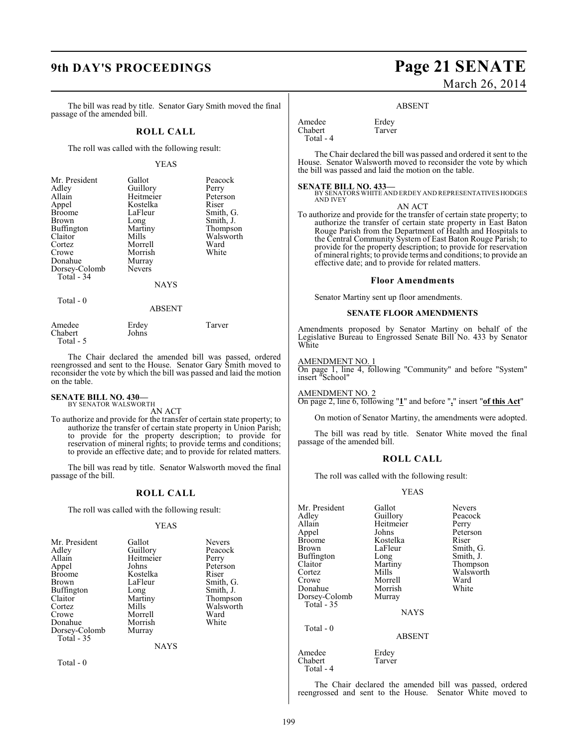The bill was read by title. Senator Gary Smith moved the final passage of the amended bill.

#### **ROLL CALL**

The roll was called with the following result:

#### YEAS

| Mr. President<br>Adley<br>Allain<br>Appel<br><b>Broome</b><br><b>Brown</b><br>Buffington<br>Claitor<br>Cortez<br>Crowe | Gallot<br>Guillory<br>Heitmeier<br>Kostelka<br>LaFleur<br>Long<br>Martiny<br>Mills<br>Morrell<br>Morrish | Peacock<br>Perry<br>Peterson<br>Riser<br>Smith, G.<br>Smith, J.<br>Thompson<br>Walsworth<br>Ward<br>White |
|------------------------------------------------------------------------------------------------------------------------|----------------------------------------------------------------------------------------------------------|-----------------------------------------------------------------------------------------------------------|
| Donahue<br>Dorsey-Colomb<br>Total - 34                                                                                 | Murray<br><b>Nevers</b><br><b>NAYS</b>                                                                   |                                                                                                           |
| Total - 0                                                                                                              |                                                                                                          |                                                                                                           |

#### ABSENT

| Amedee    | Erdey | Tarver |
|-----------|-------|--------|
| Chabert   | Johns |        |
| Total - 5 |       |        |

The Chair declared the amended bill was passed, ordered reengrossed and sent to the House. Senator Gary Smith moved to reconsider the vote by which the bill was passed and laid the motion on the table.

#### **SENATE BILL NO. 430—** BY SENATOR WALSWORTH

AN ACT

To authorize and provide for the transfer of certain state property; to authorize the transfer of certain state property in Union Parish; to provide for the property description; to provide for reservation of mineral rights; to provide terms and conditions; to provide an effective date; and to provide for related matters.

The bill was read by title. Senator Walsworth moved the final passage of the bill.

#### **ROLL CALL**

The roll was called with the following result:

#### YEAS

| Mr. President                                                        | Gallot                                           | <b>Nevers</b>                          |
|----------------------------------------------------------------------|--------------------------------------------------|----------------------------------------|
| Adley                                                                | Guillory                                         | Peacock                                |
| Allain                                                               | Heitmeier                                        | Perry                                  |
| Appel                                                                | Johns                                            | Peterson                               |
| <b>Broome</b>                                                        | Kostelka                                         | Riser                                  |
| Claitor<br>Cortez<br>Crowe<br>Donahue<br>Dorsey-Colomb<br>Total - 35 | Martiny<br>Mills<br>Morrell<br>Morrish<br>Murray | Thompson<br>Walsworth<br>Ward<br>White |

**NAYS** 

Total - 0

## **9th DAY'S PROCEEDINGS Page 21 SENATE** March 26, 2014

#### ABSENT

Amedee Erdey<br>Chabert Tarver Chabert Total - 4

The Chair declared the bill was passed and ordered it sent to the House. Senator Walsworth moved to reconsider the vote by which the bill was passed and laid the motion on the table.

#### **SENATE BILL NO. 433—**

BY SENATORS WHITE AND ERDEY AND REPRESENTATIVES HODGES AND IVEY AN ACT

To authorize and provide for the transfer of certain state property; to authorize the transfer of certain state property in East Baton Rouge Parish from the Department of Health and Hospitals to the Central Community System of East Baton Rouge Parish; to provide for the property description; to provide for reservation of mineral rights; to provide terms and conditions; to provide an effective date; and to provide for related matters.

#### **Floor Amendments**

Senator Martiny sent up floor amendments.

#### **SENATE FLOOR AMENDMENTS**

Amendments proposed by Senator Martiny on behalf of the Legislative Bureau to Engrossed Senate Bill No. 433 by Senator White

#### AMENDMENT NO. 1

On page 1, line 4, following "Community" and before "System" insert "School"

AMENDMENT NO. 2

On page 2, line 6, following "**1**" and before "**,**" insert "**of this Act**"

On motion of Senator Martiny, the amendments were adopted.

The bill was read by title. Senator White moved the final passage of the amended bill.

#### **ROLL CALL**

The roll was called with the following result:

#### YEAS

Mr. President Gallot Nevers<br>Adley Guillory Peacock Adley Guillory Peaco<br>Allain Heitmeier Perry Allain Heitmeier<br>
Appel Johns Appel Johns Peterson<br>Broome Kostelka Riser Broome Kostelka<br>Brown LaFleur Buffington Long<br>Claitor Martiny Claitor Martiny Thompson Cortez Mills Walsworth<br>Crowe Morrell Ward Donahue Morrish<br>Dorsey-Colomb Murray Dorsey-Colomb Total - 35

Morrell Ward<br>
Morrish White

Smith, G.<br>Smith, J.

NAYS

ABSENT

Amedee Erdey Chabert Tarver Total - 4

Total - 0

The Chair declared the amended bill was passed, ordered reengrossed and sent to the House. Senator White moved to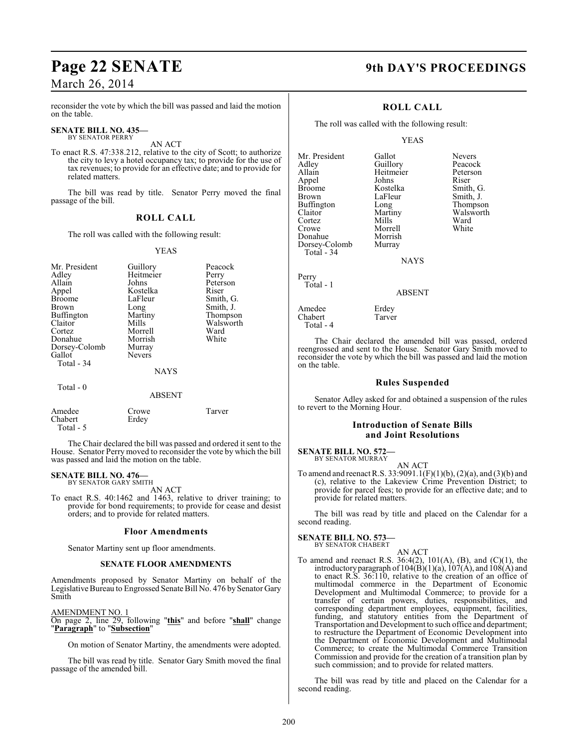reconsider the vote by which the bill was passed and laid the motion on the table.

### **SENATE BILL NO. 435—** BY SENATOR PERRY

AN ACT

To enact R.S. 47:338.212, relative to the city of Scott; to authorize the city to levy a hotel occupancy tax; to provide for the use of tax revenues; to provide for an effective date; and to provide for related matters.

The bill was read by title. Senator Perry moved the final passage of the bill.

### **ROLL CALL**

The roll was called with the following result:

#### YEAS

| Mr. President<br>Adley<br>Allain<br>Appel<br><b>Broome</b><br><b>Brown</b><br>Buffington<br>Claitor<br>Cortez<br>Donahue<br>Dorsey-Colomb<br>Gallot<br>Total - 34 | Guillory<br>Heitmeier<br>Johns<br>Kostelka<br>LaFleur<br>Long<br>Martiny<br>Mills<br>Morrell<br>Morrish<br>Murray<br><b>Nevers</b><br><b>NAYS</b> | Peacock<br>Perry<br>Peterson<br>Riser<br>Smith, G.<br>Smith, J.<br>Thompson<br>Walsworth<br>Ward<br>White |
|-------------------------------------------------------------------------------------------------------------------------------------------------------------------|---------------------------------------------------------------------------------------------------------------------------------------------------|-----------------------------------------------------------------------------------------------------------|
| Total - 0                                                                                                                                                         | <b>ABSENT</b>                                                                                                                                     |                                                                                                           |

| Amedee    | Crowe | Tarver |
|-----------|-------|--------|
| Chabert   | Erdey |        |
| Total - 5 |       |        |

The Chair declared the bill was passed and ordered it sent to the House. Senator Perry moved to reconsider the vote by which the bill was passed and laid the motion on the table.

#### **SENATE BILL NO. 476—** BY SENATOR GARY SMITH

AN ACT

To enact R.S. 40:1462 and 1463, relative to driver training; to provide for bond requirements; to provide for cease and desist orders; and to provide for related matters.

#### **Floor Amendments**

Senator Martiny sent up floor amendments.

#### **SENATE FLOOR AMENDMENTS**

Amendments proposed by Senator Martiny on behalf of the Legislative Bureau to Engrossed Senate Bill No. 476 by Senator Gary Smith

#### AMENDMENT NO. 1

On page 2, line 29, following "**this**" and before "**shall**" change "**Paragraph**" to "**Subsection**"

On motion of Senator Martiny, the amendments were adopted.

The bill was read by title. Senator Gary Smith moved the final passage of the amended bill.

### **Page 22 SENATE 9th DAY'S PROCEEDINGS**

#### **ROLL CALL**

The roll was called with the following result:

Morrell<br>Morrish

YEAS

Mr. President Gallot Nevers<br>
Adley Guillory Peacock Adley Guillory Peacock Appel Johns<br>Broome Kostelka Broome Kostelka Smith, G.<br>Brown LaFleur Smith, J. Buffington Long<br>Claitor Martiny Cortez Mills Ward Donahue Morrish<br>Dorsey-Colomb Murray Dorsey-Colomb Total - 34

Heitmeier Peters<br>Johns Riser LaFleur Smith, J.<br>
Long Thompson Martiny Walsworth<br>Mills Ward

**NAYS** 

Perry Total - 1

Total - 4

#### ABSENT

Amedee Erdey Chabert Tarver

The Chair declared the amended bill was passed, ordered reengrossed and sent to the House. Senator Gary Smith moved to reconsider the vote by which the bill was passed and laid the motion on the table.

#### **Rules Suspended**

Senator Adley asked for and obtained a suspension of the rules to revert to the Morning Hour.

#### **Introduction of Senate Bills and Joint Resolutions**

## **SENATE BILL NO. 572—** BY SENATOR MURRAY

AN ACT

To amend and reenact R.S. 33:9091.1(F)(1)(b), (2)(a), and (3)(b) and (c), relative to the Lakeview Crime Prevention District; to provide for parcel fees; to provide for an effective date; and to provide for related matters.

The bill was read by title and placed on the Calendar for a second reading.

#### **SENATE BILL NO. 573**

BY SENATOR CHABERT AN ACT

To amend and reenact R.S.  $36:4(2)$ ,  $101(A)$ , (B), and (C)(1), the introductory paragraph of  $104(B)(1)(a)$ ,  $107(A)$ , and  $108(A)$  and to enact R.S. 36:110, relative to the creation of an office of multimodal commerce in the Department of Economic Development and Multimodal Commerce; to provide for a transfer of certain powers, duties, responsibilities, and corresponding department employees, equipment, facilities, funding, and statutory entities from the Department of Transportation and Development to such office and department; to restructure the Department of Economic Development into the Department of Economic Development and Multimodal Commerce; to create the Multimodal Commerce Transition Commission and provide for the creation of a transition plan by such commission; and to provide for related matters.

The bill was read by title and placed on the Calendar for a second reading.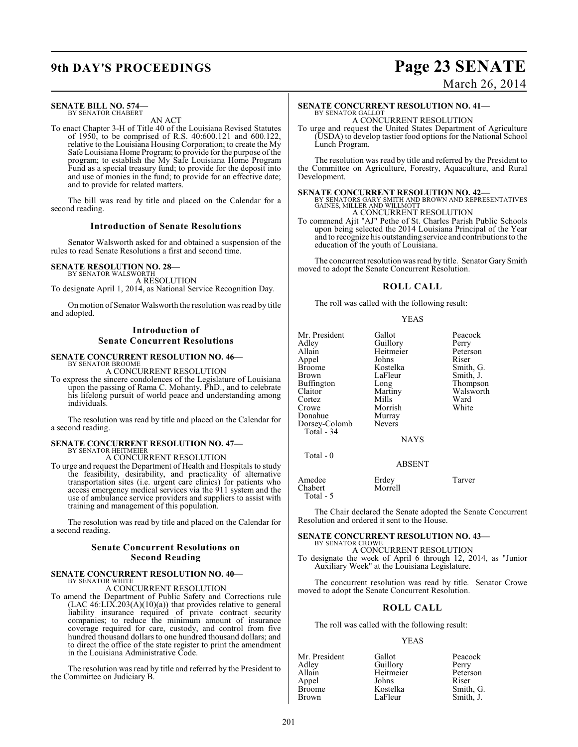## **9th DAY'S PROCEEDINGS Page 23 SENATE**

### March 26, 2014

### **SENATE BILL NO. 574—**

BY SENATOR CHABERT AN ACT

To enact Chapter 3-H of Title 40 of the Louisiana Revised Statutes of 1950, to be comprised of R.S. 40:600.121 and 600.122, relative to the Louisiana Housing Corporation; to create the My Safe Louisiana Home Program; to provide for the purpose of the program; to establish the My Safe Louisiana Home Program Fund as a special treasury fund; to provide for the deposit into and use of monies in the fund; to provide for an effective date; and to provide for related matters.

The bill was read by title and placed on the Calendar for a second reading.

#### **Introduction of Senate Resolutions**

Senator Walsworth asked for and obtained a suspension of the rules to read Senate Resolutions a first and second time.

#### **SENATE RESOLUTION NO. 28—**

BY SENATOR WALSWORTH A RESOLUTION To designate April 1, 2014, as National Service Recognition Day.

On motion of Senator Walsworth the resolution was read by title and adopted.

### **Introduction of Senate Concurrent Resolutions**

#### **SENATE CONCURRENT RESOLUTION NO. 46—** BY SENATOR BROOME

A CONCURRENT RESOLUTION

To express the sincere condolences of the Legislature of Louisiana upon the passing of Rama C. Mohanty, PhD., and to celebrate his lifelong pursuit of world peace and understanding among individuals.

The resolution was read by title and placed on the Calendar for a second reading.

#### **SENATE CONCURRENT RESOLUTION NO. 47—** BY SENATOR HEITMEIER

A CONCURRENT RESOLUTION

To urge and request the Department of Health and Hospitals to study the feasibility, desirability, and practicality of alternative transportation sites (i.e. urgent care clinics) for patients who access emergency medical services via the 911 system and the use of ambulance service providers and suppliers to assist with training and management of this population.

The resolution was read by title and placed on the Calendar for a second reading.

#### **Senate Concurrent Resolutions on Second Reading**

#### **SENATE CONCURRENT RESOLUTION NO. 40—** BY SENATOR WHITE

A CONCURRENT RESOLUTION

To amend the Department of Public Safety and Corrections rule  $(LAC 46: LIX.203(A)(10)(a))$  that provides relative to general liability insurance required of private contract security companies; to reduce the minimum amount of insurance coverage required for care, custody, and control from five hundred thousand dollars to one hundred thousand dollars; and to direct the office of the state register to print the amendment in the Louisiana Administrative Code.

The resolution was read by title and referred by the President to the Committee on Judiciary B.

#### **SENATE CONCURRENT RESOLUTION NO. 41—** BY SENATOR GALLOT

A CONCURRENT RESOLUTION

To urge and request the United States Department of Agriculture (USDA) to develop tastier food options for the National School Lunch Program.

The resolution was read by title and referred by the President to the Committee on Agriculture, Forestry, Aquaculture, and Rural Development.

**SENATE CONCURRENT RESOLUTION NO. 42—**<br>BY SENATORS GARY SMITH AND BROWN AND REPRESENTATIVES<br>GAINES, MILLER AND WILLMOTT A CONCURRENT RESOLUTION

To commend Ajit "AJ" Pethe of St. Charles Parish Public Schools upon being selected the 2014 Louisiana Principal of the Year and to recognize his outstanding service and contributionsto the education of the youth of Louisiana.

The concurrent resolution wasread by title. Senator Gary Smith moved to adopt the Senate Concurrent Resolution.

### **ROLL CALL**

The roll was called with the following result:

#### YEAS

| Mr. President<br>Adlev<br>Allain<br>Appel<br>Broome<br>Brown<br>Buffington<br>Claitor<br>Cortez<br>Crowe<br>Donahue<br>Dorsey-Colomb<br>Total - 34 | Gallot<br>Guillory<br>Heitmeier<br>Johns<br>Kostelka<br>LaFleur<br>Long<br>Martiny<br>Mills<br>Morrish<br>Murray<br><b>Nevers</b><br><b>NAYS</b> | Peacock<br>Perry<br>Peterson<br>Riser<br>Smith, G.<br>Smith, J.<br>Thompson<br>Walsworth<br>Ward<br>White |
|----------------------------------------------------------------------------------------------------------------------------------------------------|--------------------------------------------------------------------------------------------------------------------------------------------------|-----------------------------------------------------------------------------------------------------------|
| Total - 0                                                                                                                                          |                                                                                                                                                  |                                                                                                           |

#### ABSENT

| Amedee    | Erdey   | Tarver |
|-----------|---------|--------|
| Chabert   | Morrell |        |
| Total - 5 |         |        |

The Chair declared the Senate adopted the Senate Concurrent Resolution and ordered it sent to the House.

#### **SENATE CONCURRENT RESOLUTION NO. 43—** BY SENATOR CROWE

A CONCURRENT RESOLUTION To designate the week of April 6 through 12, 2014, as "Junior Auxiliary Week" at the Louisiana Legislature.

The concurrent resolution was read by title. Senator Crowe moved to adopt the Senate Concurrent Resolution.

#### **ROLL CALL**

The roll was called with the following result:

#### YEAS

| Mr. President | Gallot    | Peacock   |
|---------------|-----------|-----------|
| Adley         | Guillory  | Perry     |
| Allain        | Heitmeier | Peterson  |
| Appel         | Johns     | Riser     |
| <b>Broome</b> | Kostelka  | Smith, G. |
| Brown         | LaFleur   | Smith, J. |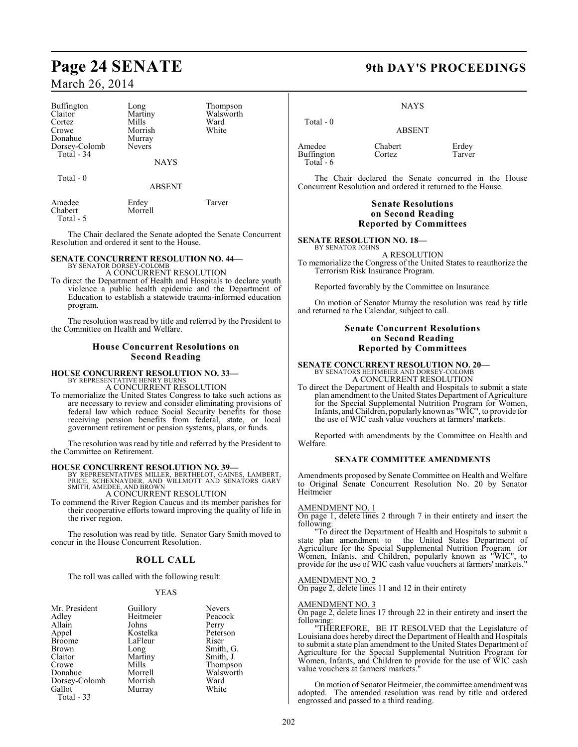| Buffington<br>Claitor<br>Cortez | Long<br>Martiny<br>Mills | Thompson<br>Walsworth<br>Ward |  |  |  |
|---------------------------------|--------------------------|-------------------------------|--|--|--|
| Crowe                           | Morrish                  | White                         |  |  |  |
| Donahue                         | Murray                   |                               |  |  |  |
| Dorsey-Colomb                   | <b>Nevers</b>            |                               |  |  |  |
| Total - 34                      |                          |                               |  |  |  |
| <b>NAYS</b>                     |                          |                               |  |  |  |
|                                 |                          |                               |  |  |  |
| Total $-0$                      |                          |                               |  |  |  |
|                                 | <b>ABSENT</b>            |                               |  |  |  |

| Amedee    | Erdey   | Tarver |
|-----------|---------|--------|
| Chabert   | Morrell |        |
| Total - 5 |         |        |

The Chair declared the Senate adopted the Senate Concurrent Resolution and ordered it sent to the House.

### **SENATE CONCURRENT RESOLUTION NO. 44—**

BY SENATOR DORSEY-COLOMB A CONCURRENT RESOLUTION

To direct the Department of Health and Hospitals to declare youth violence a public health epidemic and the Department of Education to establish a statewide trauma-informed education program.

The resolution was read by title and referred by the President to the Committee on Health and Welfare.

### **House Concurrent Resolutions on Second Reading**

#### **HOUSE CONCURRENT RESOLUTION NO. 33—** BY REPRESENTATIVE HENRY BURNS

A CONCURRENT RESOLUTION

To memorialize the United States Congress to take such actions as are necessary to review and consider eliminating provisions of federal law which reduce Social Security benefits for those receiving pension benefits from federal, state, or local government retirement or pension systems, plans, or funds.

The resolution was read by title and referred by the President to the Committee on Retirement.

**HOUSE CONCURRENT RESOLUTION NO. 39—**<br>BY REPRESENTATIVES MILLER, BERTHELOT, GAINES, LAMBERT,<br>PRICE, SCHEXNAYDER, AND WILLMOTT AND SENATORS GARY<br>SMITH, AMEDEE, AND BROWN A CONCURRENT RESOLUTION

To commend the River Region Caucus and its member parishes for their cooperative efforts toward improving the quality of life in the river region.

The resolution was read by title. Senator Gary Smith moved to concur in the House Concurrent Resolution.

### **ROLL CALL**

The roll was called with the following result:

#### YEAS

| Mr. President |                       | <b>Nevers</b> |
|---------------|-----------------------|---------------|
| Adley         | Guillory<br>Heitmeier | Peacock       |
| Allain        | Johns                 | Perry         |
| Appel         | Kostelka              | Peterson      |
| <b>Broome</b> | LaFleur               | Riser         |
| <b>Brown</b>  | Long                  | Smith, G.     |
| Claitor       | Martiny               | Smith, J.     |
| Crowe         | Mills                 | Thompson      |
| Donahue       | Morrell               | Walsworth     |
| Dorsey-Colomb | Morrish               | Ward          |
| Gallot        | Murray                | White         |
| Total - 33    |                       |               |

### **Page 24 SENATE 9th DAY'S PROCEEDINGS**

NAYS

ABSENT

 Total - 0 Amedee Chabert Erdey<br>
Buffington Cortez Tarver Buffington Total - 6

The Chair declared the Senate concurred in the House Concurrent Resolution and ordered it returned to the House.

### **Senate Resolutions on Second Reading Reported by Committees**

**SENATE RESOLUTION NO. 18—** BY SENATOR JOHNS

A RESOLUTION To memorialize the Congress of the United States to reauthorize the Terrorism Risk Insurance Program.

Reported favorably by the Committee on Insurance.

On motion of Senator Murray the resolution was read by title and returned to the Calendar, subject to call.

### **Senate Concurrent Resolutions on Second Reading Reported by Committees**

#### **SENATE CONCURRENT RESOLUTION NO. 20—** BY SENATORS HEITMEIER AND DORSEY-COLOMB

A CONCURRENT RESOLUTION

To direct the Department of Health and Hospitals to submit a state plan amendment to the United States Department of Agriculture for the Special Supplemental Nutrition Program for Women, Infants, and Children, popularlyknown as "WIC", to provide for the use of WIC cash value vouchers at farmers' markets.

Reported with amendments by the Committee on Health and Welfare.

#### **SENATE COMMITTEE AMENDMENTS**

Amendments proposed by Senate Committee on Health and Welfare to Original Senate Concurrent Resolution No. 20 by Senator Heitmeier

#### AMENDMENT NO. 1

On page 1, delete lines 2 through 7 in their entirety and insert the following:

"To direct the Department of Health and Hospitals to submit a state plan amendment to the United States Department of Agriculture for the Special Supplemental Nutrition Program for Women, Infants, and Children, popularly known as "WIC", to provide for the use of WIC cash value vouchers at farmers' markets."

#### AMENDMENT NO. 2

On page 2, delete lines 11 and 12 in their entirety

#### AMENDMENT NO. 3

On page 2, delete lines 17 through 22 in their entirety and insert the following:

"THEREFORE, BE IT RESOLVED that the Legislature of Louisiana does hereby direct the Department of Health and Hospitals to submit a state plan amendment to the United States Department of Agriculture for the Special Supplemental Nutrition Program for Women, Infants, and Children to provide for the use of WIC cash value vouchers at farmers' markets."

On motion of Senator Heitmeier, the committee amendment was adopted. The amended resolution was read by title and ordered engrossed and passed to a third reading.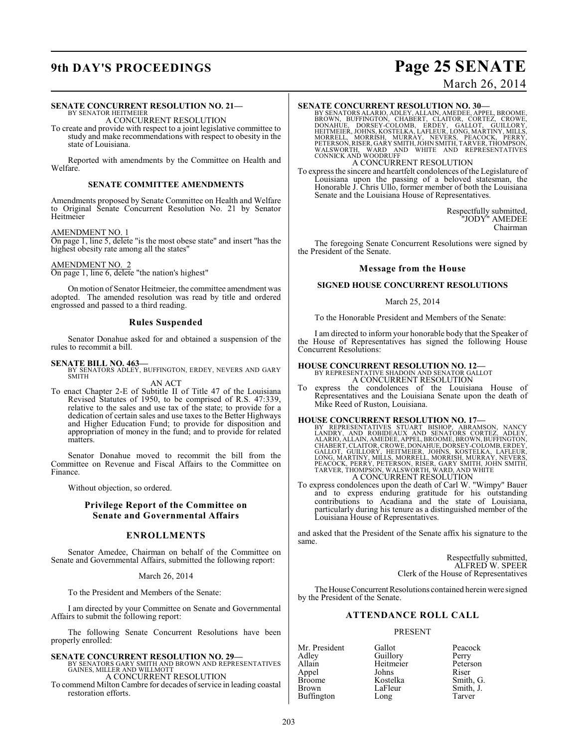## **9th DAY'S PROCEEDINGS Page 25 SENATE**

### March 26, 2014

### **SENATE CONCURRENT RESOLUTION NO. 21—**

BY SENATOR HEITMEIER A CONCURRENT RESOLUTION

To create and provide with respect to a joint legislative committee to study and make recommendations with respect to obesity in the state of Louisiana.

Reported with amendments by the Committee on Health and Welfare

#### **SENATE COMMITTEE AMENDMENTS**

Amendments proposed by Senate Committee on Health and Welfare to Original Senate Concurrent Resolution No. 21 by Senator Heitmeier

#### AMENDMENT NO. 1

On page 1, line 5, delete "is the most obese state" and insert "has the highest obesity rate among all the states"

#### AMENDMENT NO. 2

On page 1, line 6, delete "the nation's highest"

On motion of Senator Heitmeier, the committee amendment was adopted. The amended resolution was read by title and ordered engrossed and passed to a third reading.

#### **Rules Suspended**

Senator Donahue asked for and obtained a suspension of the rules to recommit a bill.

#### **SENATE BILL NO. 463—**

BY SENATORS ADLEY, BUFFINGTON, ERDEY, NEVERS AND GARY SMITH

AN ACT To enact Chapter 2-E of Subtitle II of Title 47 of the Louisiana Revised Statutes of 1950, to be comprised of R.S. 47:339, relative to the sales and use tax of the state; to provide for a dedication of certain sales and use taxes to the Better Highways and Higher Education Fund; to provide for disposition and appropriation of money in the fund; and to provide for related matters.

Senator Donahue moved to recommit the bill from the Committee on Revenue and Fiscal Affairs to the Committee on Finance.

Without objection, so ordered.

### **Privilege Report of the Committee on Senate and Governmental Affairs**

### **ENROLLMENTS**

Senator Amedee, Chairman on behalf of the Committee on Senate and Governmental Affairs, submitted the following report:

March 26, 2014

To the President and Members of the Senate:

I am directed by your Committee on Senate and Governmental Affairs to submit the following report:

The following Senate Concurrent Resolutions have been properly enrolled:

### **SENATE CONCURRENT RESOLUTION NO. 29—**

BY SENATORS GARY SMITH AND BROWN AND REPRESENTATIVES GAINES, MILLER AND WILLMOTT A CONCURRENT RESOLUTION

To commend Milton Cambre for decades of service in leading coastal restoration efforts.

#### **SENATE CONCURRENT RESOLUTION NO. 30—**

BY SENATORS ALARIO, ADLEY, ALLAIN, AMEDEE, APPEL, BROOME,<br>BROWN, BUFFINGTON, CHABERT, CLAITOR, CORTEZ, CROWE,<br>DONAHUE, DORSEY-COLOMB, ERDEY, GALLOT, GUILLORY,<br>HEITMEIER, JOHNS, KOSTELKA, LAFLEUR, LONG, MARTINY, MILLS,<br>MORR

A CONCURRENT RESOLUTION

To express the sincere and heartfelt condolences of the Legislature of Louisiana upon the passing of a beloved statesman, the Honorable J. Chris Ullo, former member of both the Louisiana Senate and the Louisiana House of Representatives.

> Respectfully submitted, "JODY" AMEDEE Chairman

The foregoing Senate Concurrent Resolutions were signed by the President of the Senate.

#### **Message from the House**

#### **SIGNED HOUSE CONCURRENT RESOLUTIONS**

#### March 25, 2014

To the Honorable President and Members of the Senate:

I am directed to inform your honorable body that the Speaker of the House of Representatives has signed the following House Concurrent Resolutions:

#### **HOUSE CONCURRENT RESOLUTION NO. 12—**

BY REPRESENTATIVE SHADOIN AND SENATOR GALLOT A CONCURRENT RESOLUTION

To express the condolences of the Louisiana House of Representatives and the Louisiana Senate upon the death of Mike Reed of Ruston, Louisiana.

**HOUSE CONCURRENT RESOLUTION NO. 17—**<br>BY REPRESENTATIVES STUART BISHOP, ABRAMSON, NANCY<br>LANDRY, AND ROBIDEAUX AND SENATORS CORTEZ, ADLEY,<br>ALARIO, ALLAIN, AMEDEE, APPEL, BROOME, BROWN, BUFFINGTON,<br>CHABERT, CLAITOR, CROWE, D

To express condolences upon the death of Carl W. "Wimpy" Bauer and to express enduring gratitude for his outstanding contributions to Acadiana and the state of Louisiana, particularly during his tenure as a distinguished member of the Louisiana House of Representatives.

and asked that the President of the Senate affix his signature to the same.

> Respectfully submitted, ALFRED W. SPEER Clerk of the House of Representatives

The House Concurrent Resolutions contained herein were signed by the President of the Senate.

### **ATTENDANCE ROLL CALL**

#### PRESENT

Adley Guillory Perry<br>Allain Heitmeier Peterson Appel Johns<br>Broome Kostelka Buffington Long

Mr. President Gallot Peacock Heitmeier Peters<br>Johns Riser Broome Kostelka Smith, G.<br>Brown LaFleur Smith, J. Smith, J.<br>Tarver